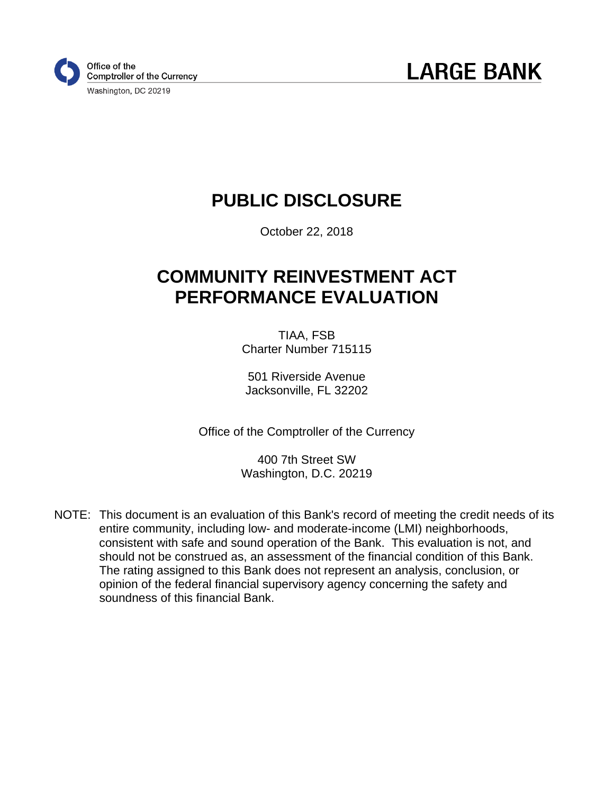

**LARGE BANK** 

## **PUBLIC DISCLOSURE**

October 22, 2018

## **COMMUNITY REINVESTMENT ACT PERFORMANCE EVALUATION**

TIAA, FSB Charter Number 715115

501 Riverside Avenue Jacksonville, FL 32202

Office of the Comptroller of the Currency

400 7th Street SW Washington, D.C. 20219

NOTE: This document is an evaluation of this Bank's record of meeting the credit needs of its entire community, including low- and moderate-income (LMI) neighborhoods, consistent with safe and sound operation of the Bank. This evaluation is not, and should not be construed as, an assessment of the financial condition of this Bank. The rating assigned to this Bank does not represent an analysis, conclusion, or opinion of the federal financial supervisory agency concerning the safety and soundness of this financial Bank.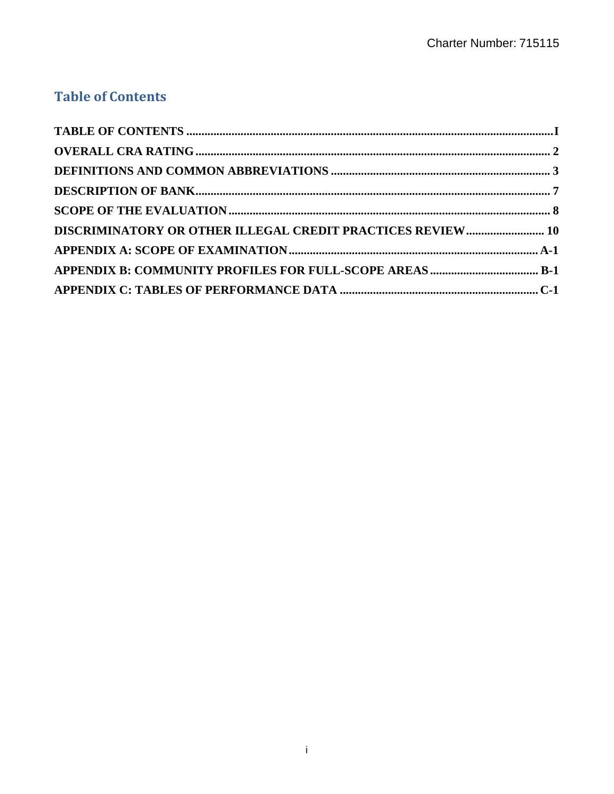## **Table of Contents**

| DISCRIMINATORY OR OTHER ILLEGAL CREDIT PRACTICES REVIEW 10 |  |
|------------------------------------------------------------|--|
|                                                            |  |
|                                                            |  |
|                                                            |  |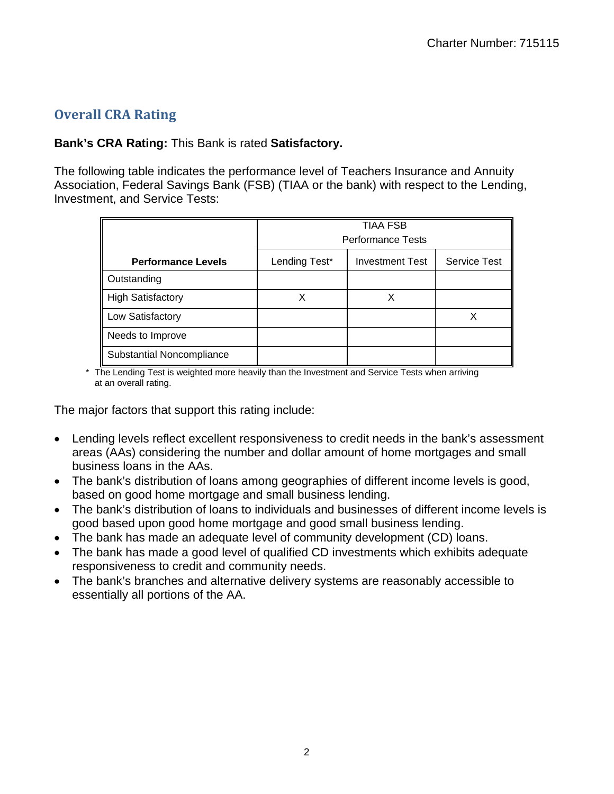## **Overall CRA Rating**

#### **Bank's CRA Rating:** This Bank is rated **Satisfactory.**

The following table indicates the performance level of Teachers Insurance and Annuity Association, Federal Savings Bank (FSB) (TIAA or the bank) with respect to the Lending, Investment, and Service Tests:

|                           |               | <b>TIAA FSB</b><br><b>Performance Tests</b> |                     |
|---------------------------|---------------|---------------------------------------------|---------------------|
| <b>Performance Levels</b> | Lending Test* | <b>Investment Test</b>                      | <b>Service Test</b> |
| Outstanding               |               |                                             |                     |
| <b>High Satisfactory</b>  | X             | Χ                                           |                     |
| Low Satisfactory          |               |                                             |                     |
| Needs to Improve          |               |                                             |                     |
| Substantial Noncompliance |               |                                             |                     |

\* The Lending Test is weighted more heavily than the Investment and Service Tests when arriving<br>at an overall rating.

The major factors that support this rating include:

- Lending levels reflect excellent responsiveness to credit needs in the bank's assessment areas (AAs) considering the number and dollar amount of home mortgages and small business loans in the AAs.
- The bank's distribution of loans among geographies of different income levels is good, based on good home mortgage and small business lending.
- The bank's distribution of loans to individuals and businesses of different income levels is good based upon good home mortgage and good small business lending.
- The bank has made an adequate level of community development (CD) loans.
- The bank has made a good level of qualified CD investments which exhibits adequate responsiveness to credit and community needs.
- The bank's branches and alternative delivery systems are reasonably accessible to essentially all portions of the AA.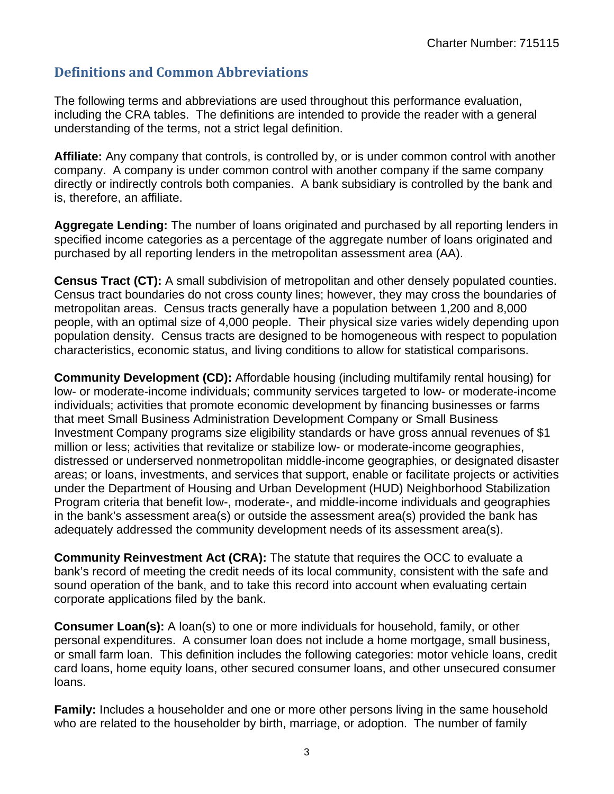## <span id="page-3-0"></span> **Definitions and Common Abbreviations**

The following terms and abbreviations are used throughout this performance evaluation, including the CRA tables. The definitions are intended to provide the reader with a general understanding of the terms, not a strict legal definition.

**Affiliate:** Any company that controls, is controlled by, or is under common control with another company. A company is under common control with another company if the same company directly or indirectly controls both companies. A bank subsidiary is controlled by the bank and is, therefore, an affiliate.

**Aggregate Lending:** The number of loans originated and purchased by all reporting lenders in specified income categories as a percentage of the aggregate number of loans originated and purchased by all reporting lenders in the metropolitan assessment area (AA).

**Census Tract (CT):** A small subdivision of metropolitan and other densely populated counties. Census tract boundaries do not cross county lines; however, they may cross the boundaries of metropolitan areas. Census tracts generally have a population between 1,200 and 8,000 people, with an optimal size of 4,000 people. Their physical size varies widely depending upon population density. Census tracts are designed to be homogeneous with respect to population characteristics, economic status, and living conditions to allow for statistical comparisons.

**Community Development (CD):** Affordable housing (including multifamily rental housing) for low- or moderate-income individuals; community services targeted to low- or moderate-income individuals; activities that promote economic development by financing businesses or farms that meet Small Business Administration Development Company or Small Business Investment Company programs size eligibility standards or have gross annual revenues of \$1 million or less; activities that revitalize or stabilize low- or moderate-income geographies, distressed or underserved nonmetropolitan middle-income geographies, or designated disaster areas; or loans, investments, and services that support, enable or facilitate projects or activities under the Department of Housing and Urban Development (HUD) Neighborhood Stabilization Program criteria that benefit low-, moderate-, and middle-income individuals and geographies in the bank's assessment area(s) or outside the assessment area(s) provided the bank has adequately addressed the community development needs of its assessment area(s).

**Community Reinvestment Act (CRA):** The statute that requires the OCC to evaluate a bank's record of meeting the credit needs of its local community, consistent with the safe and sound operation of the bank, and to take this record into account when evaluating certain corporate applications filed by the bank.

**Consumer Loan(s):** A loan(s) to one or more individuals for household, family, or other personal expenditures. A consumer loan does not include a home mortgage, small business, or small farm loan. This definition includes the following categories: motor vehicle loans, credit card loans, home equity loans, other secured consumer loans, and other unsecured consumer loans.

**Family:** Includes a householder and one or more other persons living in the same household who are related to the householder by birth, marriage, or adoption. The number of family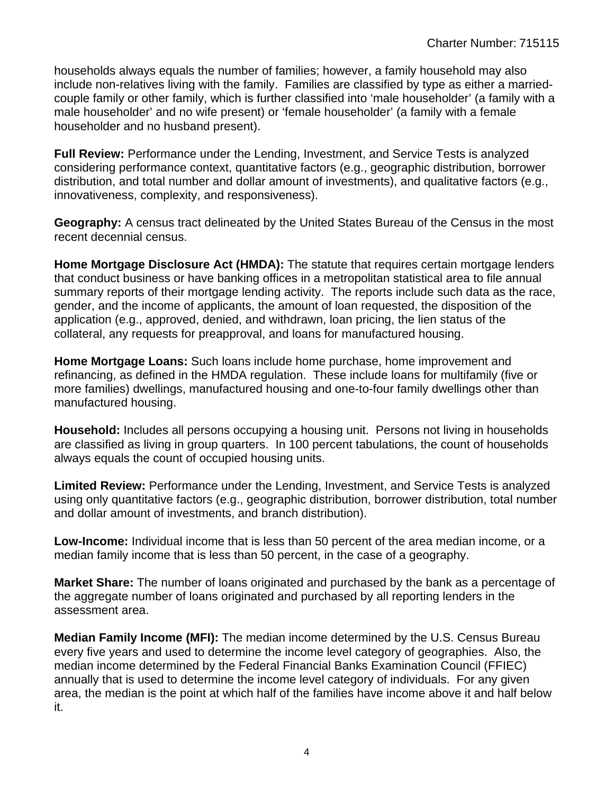households always equals the number of families; however, a family household may also include non-relatives living with the family. Families are classified by type as either a marriedcouple family or other family, which is further classified into 'male householder' (a family with a male householder' and no wife present) or 'female householder' (a family with a female householder and no husband present).

Full Review: Performance under the Lending, Investment, and Service Tests is analyzed considering performance context, quantitative factors (e.g., geographic distribution, borrower distribution, and total number and dollar amount of investments), and qualitative factors (e.g., innovativeness, complexity, and responsiveness).

**Geography:** A census tract delineated by the United States Bureau of the Census in the most recent decennial census.

**Home Mortgage Disclosure Act (HMDA):** The statute that requires certain mortgage lenders that conduct business or have banking offices in a metropolitan statistical area to file annual summary reports of their mortgage lending activity. The reports include such data as the race, gender, and the income of applicants, the amount of loan requested, the disposition of the application (e.g., approved, denied, and withdrawn, loan pricing, the lien status of the collateral, any requests for preapproval, and loans for manufactured housing.

**Home Mortgage Loans:** Such loans include home purchase, home improvement and refinancing, as defined in the HMDA regulation. These include loans for multifamily (five or more families) dwellings, manufactured housing and one-to-four family dwellings other than manufactured housing.

**Household:** Includes all persons occupying a housing unit. Persons not living in households are classified as living in group quarters. In 100 percent tabulations, the count of households always equals the count of occupied housing units.

**Limited Review:** Performance under the Lending, Investment, and Service Tests is analyzed using only quantitative factors (e.g., geographic distribution, borrower distribution, total number and dollar amount of investments, and branch distribution).

**Low-Income:** Individual income that is less than 50 percent of the area median income, or a median family income that is less than 50 percent, in the case of a geography.

**Market Share:** The number of loans originated and purchased by the bank as a percentage of the aggregate number of loans originated and purchased by all reporting lenders in the assessment area.

**Median Family Income (MFI):** The median income determined by the U.S. Census Bureau every five years and used to determine the income level category of geographies. Also, the median income determined by the Federal Financial Banks Examination Council (FFIEC) annually that is used to determine the income level category of individuals. For any given area, the median is the point at which half of the families have income above it and half below it.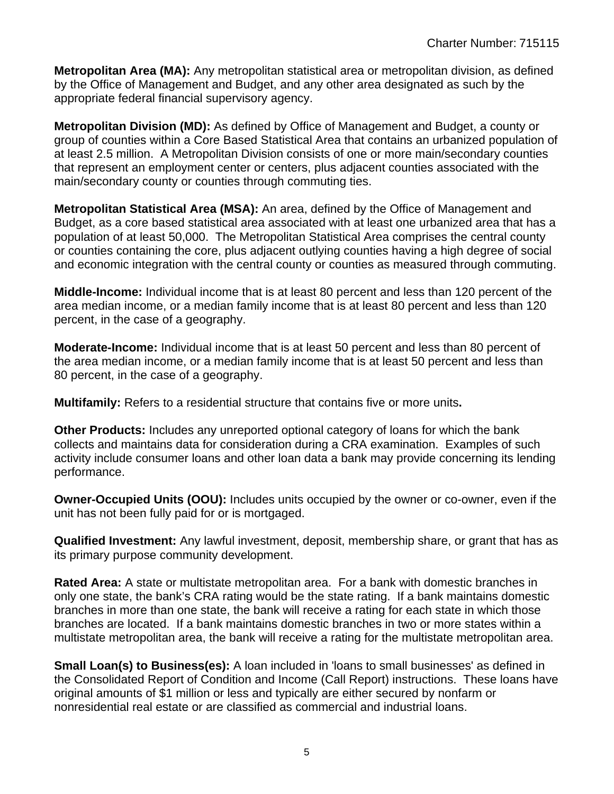**Metropolitan Area (MA):** Any metropolitan statistical area or metropolitan division, as defined by the Office of Management and Budget, and any other area designated as such by the appropriate federal financial supervisory agency.

**Metropolitan Division (MD):** As defined by Office of Management and Budget, a county or group of counties within a Core Based Statistical Area that contains an urbanized population of at least 2.5 million. A Metropolitan Division consists of one or more main/secondary counties that represent an employment center or centers, plus adjacent counties associated with the main/secondary county or counties through commuting ties.

**Metropolitan Statistical Area (MSA):** An area, defined by the Office of Management and Budget, as a core based statistical area associated with at least one urbanized area that has a population of at least 50,000. The Metropolitan Statistical Area comprises the central county or counties containing the core, plus adjacent outlying counties having a high degree of social and economic integration with the central county or counties as measured through commuting.

**Middle-Income:** Individual income that is at least 80 percent and less than 120 percent of the area median income, or a median family income that is at least 80 percent and less than 120 percent, in the case of a geography.

**Moderate-Income:** Individual income that is at least 50 percent and less than 80 percent of the area median income, or a median family income that is at least 50 percent and less than 80 percent, in the case of a geography.

**Multifamily:** Refers to a residential structure that contains five or more units**.** 

**Other Products:** Includes any unreported optional category of loans for which the bank collects and maintains data for consideration during a CRA examination. Examples of such activity include consumer loans and other loan data a bank may provide concerning its lending performance.

**Owner-Occupied Units (OOU):** Includes units occupied by the owner or co-owner, even if the unit has not been fully paid for or is mortgaged.

**Qualified Investment:** Any lawful investment, deposit, membership share, or grant that has as its primary purpose community development.

**Rated Area:** A state or multistate metropolitan area. For a bank with domestic branches in only one state, the bank's CRA rating would be the state rating. If a bank maintains domestic branches in more than one state, the bank will receive a rating for each state in which those branches are located. If a bank maintains domestic branches in two or more states within a multistate metropolitan area, the bank will receive a rating for the multistate metropolitan area.

**Small Loan(s) to Business(es):** A loan included in 'loans to small businesses' as defined in the Consolidated Report of Condition and Income (Call Report) instructions. These loans have original amounts of \$1 million or less and typically are either secured by nonfarm or nonresidential real estate or are classified as commercial and industrial loans.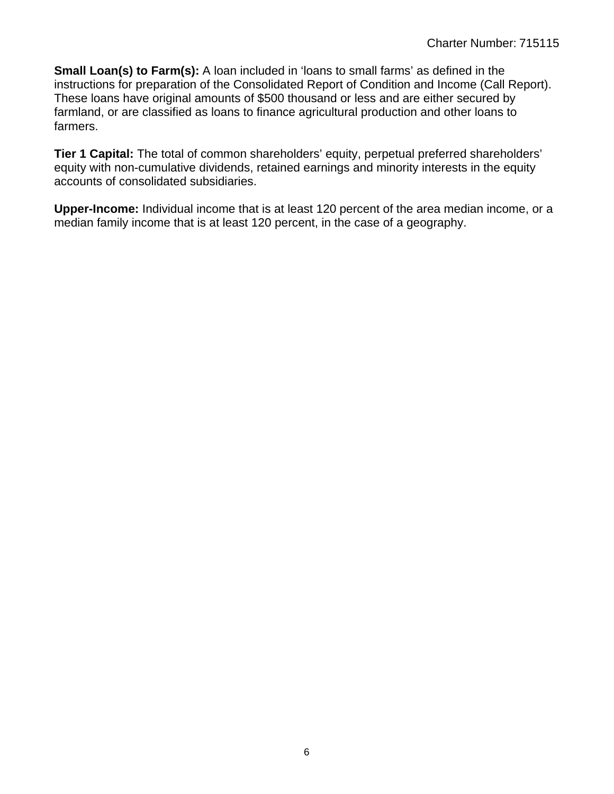**Small Loan(s) to Farm(s):** A loan included in 'loans to small farms' as defined in the instructions for preparation of the Consolidated Report of Condition and Income (Call Report). These loans have original amounts of \$500 thousand or less and are either secured by farmland, or are classified as loans to finance agricultural production and other loans to farmers.

**Tier 1 Capital:** The total of common shareholders' equity, perpetual preferred shareholders' equity with non-cumulative dividends, retained earnings and minority interests in the equity accounts of consolidated subsidiaries.

**Upper-Income:** Individual income that is at least 120 percent of the area median income, or a median family income that is at least 120 percent, in the case of a geography.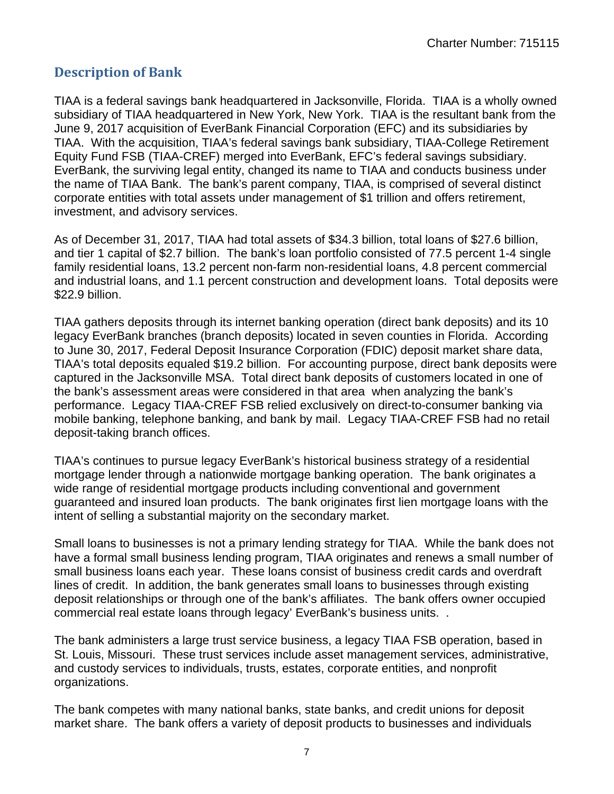## <span id="page-7-0"></span> **Description of Bank**

TIAA is a federal savings bank headquartered in Jacksonville, Florida. TIAA is a wholly owned subsidiary of TIAA headquartered in New York, New York. TIAA is the resultant bank from the June 9, 2017 acquisition of EverBank Financial Corporation (EFC) and its subsidiaries by TIAA. With the acquisition, TIAA's federal savings bank subsidiary, TIAA-College Retirement Equity Fund FSB (TIAA-CREF) merged into EverBank, EFC's federal savings subsidiary. EverBank, the surviving legal entity, changed its name to TIAA and conducts business under the name of TIAA Bank. The bank's parent company, TIAA, is comprised of several distinct corporate entities with total assets under management of \$1 trillion and offers retirement, investment, and advisory services.

As of December 31, 2017, TIAA had total assets of \$34.3 billion, total loans of \$27.6 billion, and tier 1 capital of \$2.7 billion. The bank's loan portfolio consisted of 77.5 percent 1-4 single family residential loans, 13.2 percent non-farm non-residential loans, 4.8 percent commercial and industrial loans, and 1.1 percent construction and development loans. Total deposits were \$22.9 billion.

TIAA gathers deposits through its internet banking operation (direct bank deposits) and its 10 legacy EverBank branches (branch deposits) located in seven counties in Florida. According to June 30, 2017, Federal Deposit Insurance Corporation (FDIC) deposit market share data, TIAA's total deposits equaled \$19.2 billion. For accounting purpose, direct bank deposits were captured in the Jacksonville MSA. Total direct bank deposits of customers located in one of the bank's assessment areas were considered in that area when analyzing the bank's performance. Legacy TIAA-CREF FSB relied exclusively on direct-to-consumer banking via mobile banking, telephone banking, and bank by mail. Legacy TIAA-CREF FSB had no retail deposit-taking branch offices.

TIAA's continues to pursue legacy EverBank's historical business strategy of a residential mortgage lender through a nationwide mortgage banking operation. The bank originates a wide range of residential mortgage products including conventional and government guaranteed and insured loan products. The bank originates first lien mortgage loans with the intent of selling a substantial majority on the secondary market.

Small loans to businesses is not a primary lending strategy for TIAA. While the bank does not have a formal small business lending program, TIAA originates and renews a small number of small business loans each year. These loans consist of business credit cards and overdraft lines of credit. In addition, the bank generates small loans to businesses through existing deposit relationships or through one of the bank's affiliates. The bank offers owner occupied commercial real estate loans through legacy' EverBank's business units. .

The bank administers a large trust service business, a legacy TIAA FSB operation, based in St. Louis, Missouri. These trust services include asset management services, administrative, and custody services to individuals, trusts, estates, corporate entities, and nonprofit organizations.

The bank competes with many national banks, state banks, and credit unions for deposit market share. The bank offers a variety of deposit products to businesses and individuals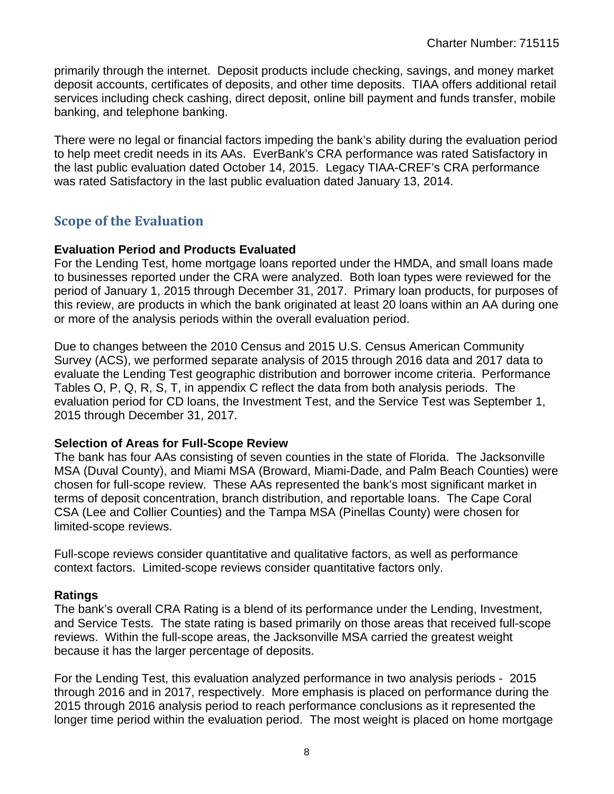<span id="page-8-0"></span>primarily through the internet. Deposit products include checking, savings, and money market deposit accounts, certificates of deposits, and other time deposits. TIAA offers additional retail services including check cashing, direct deposit, online bill payment and funds transfer, mobile banking, and telephone banking.

There were no legal or financial factors impeding the bank's ability during the evaluation period to help meet credit needs in its AAs. EverBank's CRA performance was rated Satisfactory in the last public evaluation dated October 14, 2015. Legacy TIAA-CREF's CRA performance was rated Satisfactory in the last public evaluation dated January 13, 2014.

## **Scope of the Evaluation**

#### **Evaluation Period and Products Evaluated**

For the Lending Test, home mortgage loans reported under the HMDA, and small loans made to businesses reported under the CRA were analyzed. Both loan types were reviewed for the period of January 1, 2015 through December 31, 2017. Primary loan products, for purposes of this review, are products in which the bank originated at least 20 loans within an AA during one or more of the analysis periods within the overall evaluation period.

 evaluate the Lending Test geographic distribution and borrower income criteria. Performance Due to changes between the 2010 Census and 2015 U.S. Census American Community Survey (ACS), we performed separate analysis of 2015 through 2016 data and 2017 data to Tables O, P, Q, R, S, T, in appendix C reflect the data from both analysis periods. The evaluation period for CD loans, the Investment Test, and the Service Test was September 1, 2015 through December 31, 2017.

#### **Selection of Areas for Full-Scope Review**

The bank has four AAs consisting of seven counties in the state of Florida. The Jacksonville MSA (Duval County), and Miami MSA (Broward, Miami-Dade, and Palm Beach Counties) were chosen for full-scope review. These AAs represented the bank's most significant market in terms of deposit concentration, branch distribution, and reportable loans. The Cape Coral CSA (Lee and Collier Counties) and the Tampa MSA (Pinellas County) were chosen for limited-scope reviews.

Full-scope reviews consider quantitative and qualitative factors, as well as performance context factors. Limited-scope reviews consider quantitative factors only.

#### **Ratings**

The bank's overall CRA Rating is a blend of its performance under the Lending, Investment, and Service Tests. The state rating is based primarily on those areas that received full-scope reviews. Within the full-scope areas, the Jacksonville MSA carried the greatest weight because it has the larger percentage of deposits.

For the Lending Test, this evaluation analyzed performance in two analysis periods - 2015 through 2016 and in 2017, respectively. More emphasis is placed on performance during the 2015 through 2016 analysis period to reach performance conclusions as it represented the longer time period within the evaluation period. The most weight is placed on home mortgage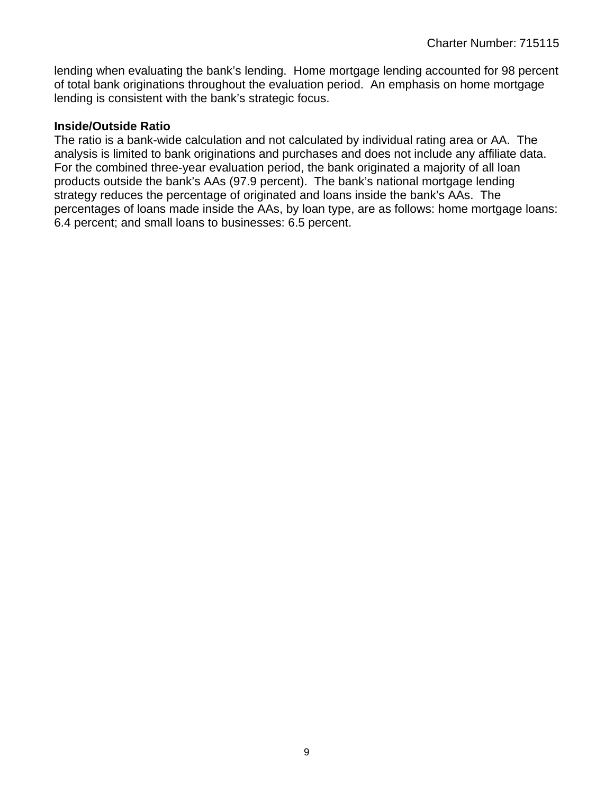lending when evaluating the bank's lending. Home mortgage lending accounted for 98 percent of total bank originations throughout the evaluation period. An emphasis on home mortgage lending is consistent with the bank's strategic focus.

#### **Inside/Outside Ratio**

The ratio is a bank-wide calculation and not calculated by individual rating area or AA. The analysis is limited to bank originations and purchases and does not include any affiliate data. For the combined three-year evaluation period, the bank originated a majority of all loan products outside the bank's AAs (97.9 percent). The bank's national mortgage lending strategy reduces the percentage of originated and loans inside the bank's AAs. The percentages of loans made inside the AAs, by loan type, are as follows: home mortgage loans: 6.4 percent; and small loans to businesses: 6.5 percent.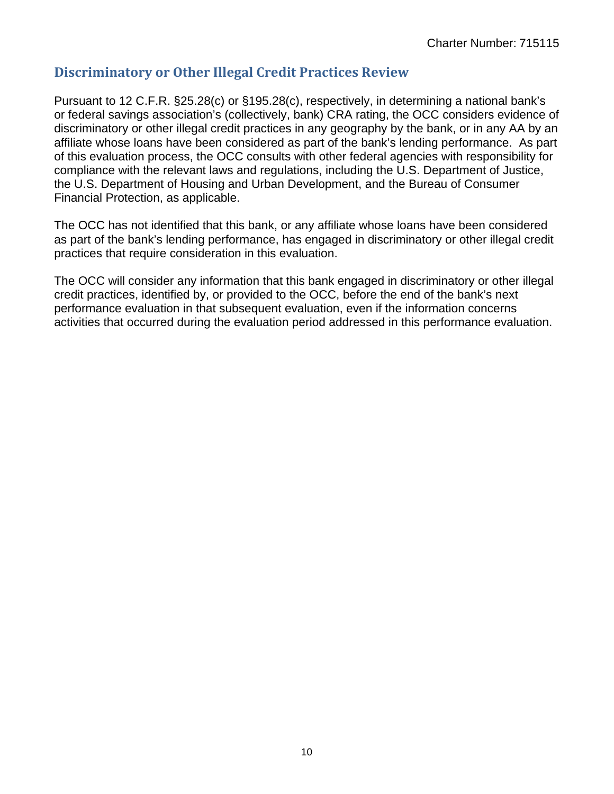## <span id="page-10-0"></span> **Discriminatory or Other Illegal Credit Practices Review**

Pursuant to 12 C.F.R. §25.28(c) or §195.28(c), respectively, in determining a national bank's or federal savings association's (collectively, bank) CRA rating, the OCC considers evidence of discriminatory or other illegal credit practices in any geography by the bank, or in any AA by an affiliate whose loans have been considered as part of the bank's lending performance. As part of this evaluation process, the OCC consults with other federal agencies with responsibility for compliance with the relevant laws and regulations, including the U.S. Department of Justice, the U.S. Department of Housing and Urban Development, and the Bureau of Consumer Financial Protection, as applicable.

The OCC has not identified that this bank, or any affiliate whose loans have been considered as part of the bank's lending performance, has engaged in discriminatory or other illegal credit practices that require consideration in this evaluation.

The OCC will consider any information that this bank engaged in discriminatory or other illegal credit practices, identified by, or provided to the OCC, before the end of the bank's next performance evaluation in that subsequent evaluation, even if the information concerns activities that occurred during the evaluation period addressed in this performance evaluation.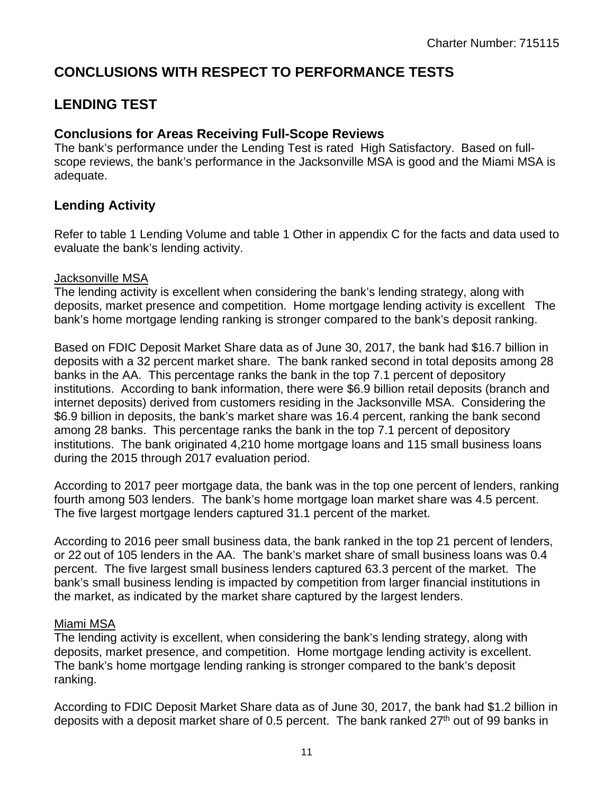## **CONCLUSIONS WITH RESPECT TO PERFORMANCE TESTS**

## **LENDING TEST**

#### **Conclusions for Areas Receiving Full-Scope Reviews**

The bank's performance under the Lending Test is rated High Satisfactory. Based on fullscope reviews, the bank's performance in the Jacksonville MSA is good and the Miami MSA is adequate.

#### **Lending Activity**

Refer to table 1 Lending Volume and table 1 Other in appendix C for the facts and data used to evaluate the bank's lending activity.

#### Jacksonville MSA

The lending activity is excellent when considering the bank's lending strategy, along with deposits, market presence and competition. Home mortgage lending activity is excellent The bank's home mortgage lending ranking is stronger compared to the bank's deposit ranking.

Based on FDIC Deposit Market Share data as of June 30, 2017, the bank had \$16.7 billion in deposits with a 32 percent market share. The bank ranked second in total deposits among 28 banks in the AA. This percentage ranks the bank in the top 7.1 percent of depository institutions. According to bank information, there were \$6.9 billion retail deposits (branch and internet deposits) derived from customers residing in the Jacksonville MSA. Considering the \$6.9 billion in deposits, the bank's market share was 16.4 percent, ranking the bank second among 28 banks. This percentage ranks the bank in the top 7.1 percent of depository institutions. The bank originated 4,210 home mortgage loans and 115 small business loans during the 2015 through 2017 evaluation period.

According to 2017 peer mortgage data, the bank was in the top one percent of lenders, ranking fourth among 503 lenders. The bank's home mortgage loan market share was 4.5 percent. The five largest mortgage lenders captured 31.1 percent of the market.

According to 2016 peer small business data, the bank ranked in the top 21 percent of lenders, or 22 out of 105 lenders in the AA. The bank's market share of small business loans was 0.4 percent. The five largest small business lenders captured 63.3 percent of the market. The bank's small business lending is impacted by competition from larger financial institutions in the market, as indicated by the market share captured by the largest lenders.

#### Miami MSA

The lending activity is excellent, when considering the bank's lending strategy, along with deposits, market presence, and competition. Home mortgage lending activity is excellent. The bank's home mortgage lending ranking is stronger compared to the bank's deposit ranking.

According to FDIC Deposit Market Share data as of June 30, 2017, the bank had \$1.2 billion in deposits with a deposit market share of 0.5 percent. The bank ranked  $27<sup>th</sup>$  out of 99 banks in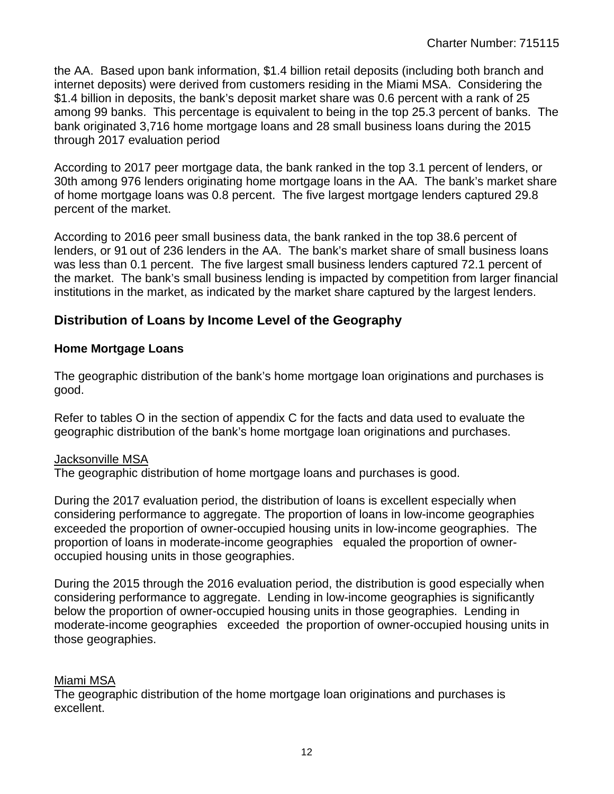the AA. Based upon bank information, \$1.4 billion retail deposits (including both branch and internet deposits) were derived from customers residing in the Miami MSA. Considering the \$1.4 billion in deposits, the bank's deposit market share was 0.6 percent with a rank of 25 among 99 banks. This percentage is equivalent to being in the top 25.3 percent of banks. The bank originated 3,716 home mortgage loans and 28 small business loans during the 2015 through 2017 evaluation period

According to 2017 peer mortgage data, the bank ranked in the top 3.1 percent of lenders, or 30th among 976 lenders originating home mortgage loans in the AA. The bank's market share of home mortgage loans was 0.8 percent. The five largest mortgage lenders captured 29.8 percent of the market.

According to 2016 peer small business data, the bank ranked in the top 38.6 percent of lenders, or 91 out of 236 lenders in the AA. The bank's market share of small business loans was less than 0.1 percent. The five largest small business lenders captured 72.1 percent of the market. The bank's small business lending is impacted by competition from larger financial institutions in the market, as indicated by the market share captured by the largest lenders.

#### **Distribution of Loans by Income Level of the Geography**

#### **Home Mortgage Loans**

The geographic distribution of the bank's home mortgage loan originations and purchases is good.

Refer to tables O in the section of appendix C for the facts and data used to evaluate the geographic distribution of the bank's home mortgage loan originations and purchases.

#### Jacksonville MSA

The geographic distribution of home mortgage loans and purchases is good.

During the 2017 evaluation period, the distribution of loans is excellent especially when considering performance to aggregate. The proportion of loans in low-income geographies exceeded the proportion of owner-occupied housing units in low-income geographies. The proportion of loans in moderate-income geographies equaled the proportion of owneroccupied housing units in those geographies.

During the 2015 through the 2016 evaluation period, the distribution is good especially when considering performance to aggregate. Lending in low-income geographies is significantly below the proportion of owner-occupied housing units in those geographies. Lending in moderate-income geographies exceeded the proportion of owner-occupied housing units in those geographies.

#### Miami MSA

The geographic distribution of the home mortgage loan originations and purchases is excellent.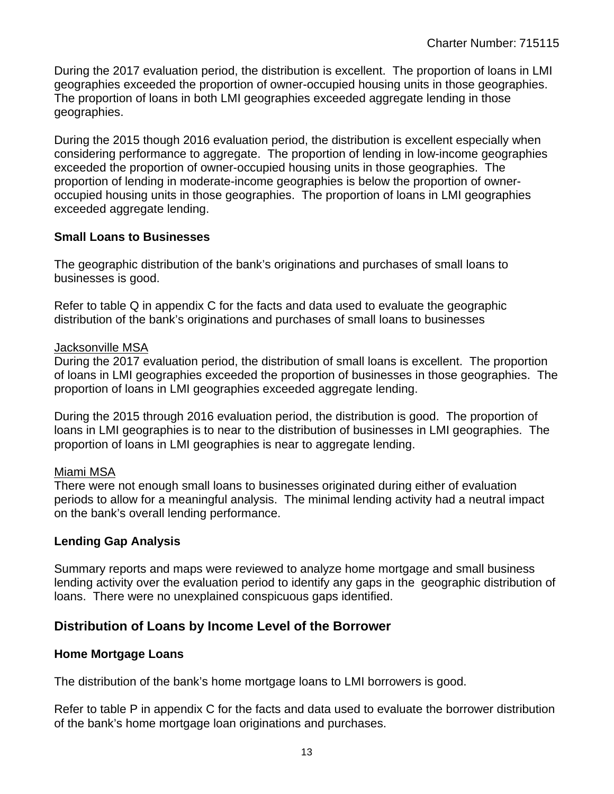During the 2017 evaluation period, the distribution is excellent. The proportion of loans in LMI geographies exceeded the proportion of owner-occupied housing units in those geographies. The proportion of loans in both LMI geographies exceeded aggregate lending in those geographies.

During the 2015 though 2016 evaluation period, the distribution is excellent especially when considering performance to aggregate. The proportion of lending in low-income geographies exceeded the proportion of owner-occupied housing units in those geographies. The proportion of lending in moderate-income geographies is below the proportion of owneroccupied housing units in those geographies. The proportion of loans in LMI geographies exceeded aggregate lending.

#### **Small Loans to Businesses**

The geographic distribution of the bank's originations and purchases of small loans to businesses is good.

Refer to table Q in appendix C for the facts and data used to evaluate the geographic distribution of the bank's originations and purchases of small loans to businesses

#### Jacksonville MSA

During the 2017 evaluation period, the distribution of small loans is excellent. The proportion of loans in LMI geographies exceeded the proportion of businesses in those geographies. The proportion of loans in LMI geographies exceeded aggregate lending.

During the 2015 through 2016 evaluation period, the distribution is good. The proportion of loans in LMI geographies is to near to the distribution of businesses in LMI geographies. The proportion of loans in LMI geographies is near to aggregate lending.

#### Miami MSA

There were not enough small loans to businesses originated during either of evaluation periods to allow for a meaningful analysis. The minimal lending activity had a neutral impact on the bank's overall lending performance.

#### **Lending Gap Analysis**

Summary reports and maps were reviewed to analyze home mortgage and small business lending activity over the evaluation period to identify any gaps in the geographic distribution of loans. There were no unexplained conspicuous gaps identified.

#### **Distribution of Loans by Income Level of the Borrower**

#### **Home Mortgage Loans**

The distribution of the bank's home mortgage loans to LMI borrowers is good.

Refer to table P in appendix C for the facts and data used to evaluate the borrower distribution of the bank's home mortgage loan originations and purchases.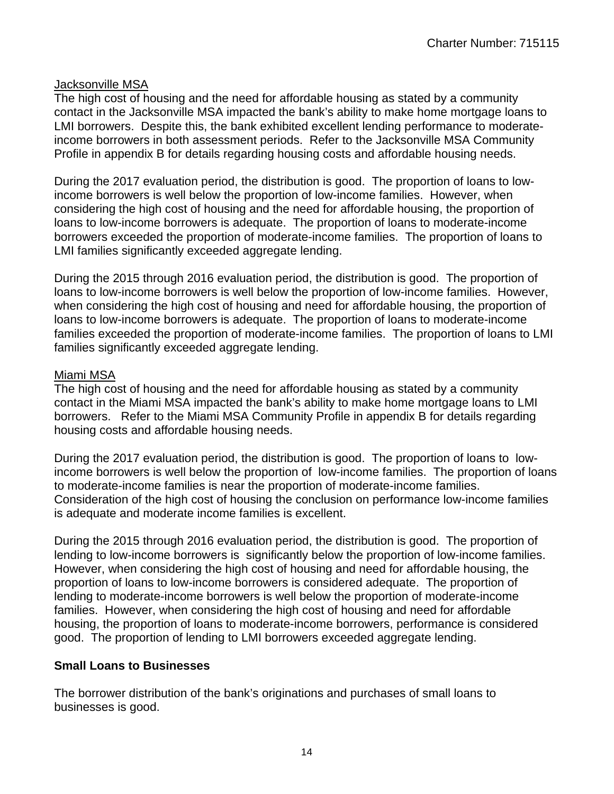#### Jacksonville MSA

The high cost of housing and the need for affordable housing as stated by a community contact in the Jacksonville MSA impacted the bank's ability to make home mortgage loans to LMI borrowers. Despite this, the bank exhibited excellent lending performance to moderateincome borrowers in both assessment periods. Refer to the Jacksonville MSA Community Profile in appendix B for details regarding housing costs and affordable housing needs.

During the 2017 evaluation period, the distribution is good. The proportion of loans to lowincome borrowers is well below the proportion of low-income families. However, when considering the high cost of housing and the need for affordable housing, the proportion of loans to low-income borrowers is adequate. The proportion of loans to moderate-income borrowers exceeded the proportion of moderate-income families. The proportion of loans to LMI families significantly exceeded aggregate lending.

During the 2015 through 2016 evaluation period, the distribution is good. The proportion of loans to low-income borrowers is well below the proportion of low-income families. However, when considering the high cost of housing and need for affordable housing, the proportion of loans to low-income borrowers is adequate. The proportion of loans to moderate-income families exceeded the proportion of moderate-income families. The proportion of loans to LMI families significantly exceeded aggregate lending.

#### Miami MSA

The high cost of housing and the need for affordable housing as stated by a community contact in the Miami MSA impacted the bank's ability to make home mortgage loans to LMI borrowers. Refer to the Miami MSA Community Profile in appendix B for details regarding housing costs and affordable housing needs.

During the 2017 evaluation period, the distribution is good. The proportion of loans to lowincome borrowers is well below the proportion of low-income families. The proportion of loans to moderate-income families is near the proportion of moderate-income families. Consideration of the high cost of housing the conclusion on performance low-income families is adequate and moderate income families is excellent.

During the 2015 through 2016 evaluation period, the distribution is good. The proportion of lending to low-income borrowers is significantly below the proportion of low-income families. However, when considering the high cost of housing and need for affordable housing, the proportion of loans to low-income borrowers is considered adequate. The proportion of lending to moderate-income borrowers is well below the proportion of moderate-income families. However, when considering the high cost of housing and need for affordable housing, the proportion of loans to moderate-income borrowers, performance is considered good. The proportion of lending to LMI borrowers exceeded aggregate lending.

#### **Small Loans to Businesses**

The borrower distribution of the bank's originations and purchases of small loans to businesses is good.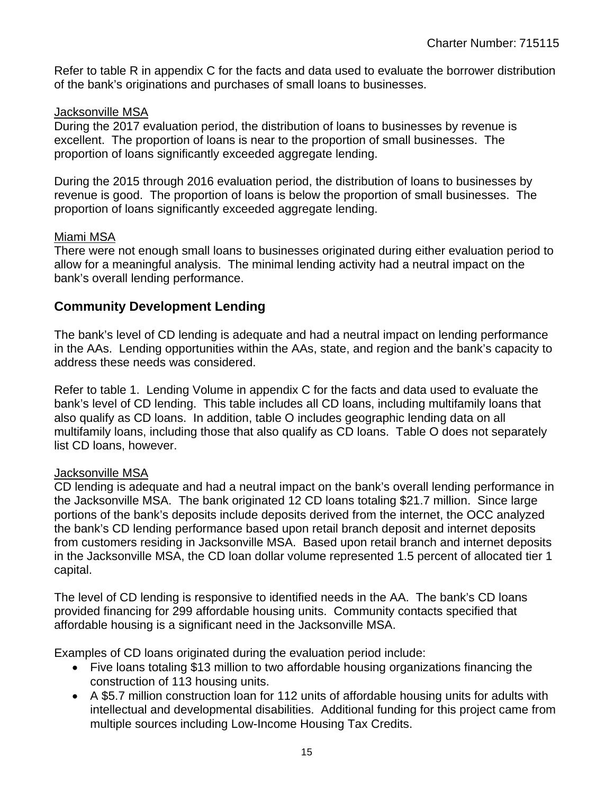Refer to table R in appendix C for the facts and data used to evaluate the borrower distribution of the bank's originations and purchases of small loans to businesses.

#### Jacksonville MSA

During the 2017 evaluation period, the distribution of loans to businesses by revenue is excellent. The proportion of loans is near to the proportion of small businesses. The proportion of loans significantly exceeded aggregate lending.

During the 2015 through 2016 evaluation period, the distribution of loans to businesses by revenue is good. The proportion of loans is below the proportion of small businesses. The proportion of loans significantly exceeded aggregate lending.

#### Miami MSA

There were not enough small loans to businesses originated during either evaluation period to allow for a meaningful analysis. The minimal lending activity had a neutral impact on the bank's overall lending performance.

#### **Community Development Lending**

The bank's level of CD lending is adequate and had a neutral impact on lending performance in the AAs. Lending opportunities within the AAs, state, and region and the bank's capacity to address these needs was considered.

Refer to table 1. Lending Volume in appendix C for the facts and data used to evaluate the bank's level of CD lending. This table includes all CD loans, including multifamily loans that also qualify as CD loans. In addition, table O includes geographic lending data on all multifamily loans, including those that also qualify as CD loans. Table O does not separately list CD loans, however.

#### Jacksonville MSA

CD lending is adequate and had a neutral impact on the bank's overall lending performance in the Jacksonville MSA. The bank originated 12 CD loans totaling \$21.7 million. Since large portions of the bank's deposits include deposits derived from the internet, the OCC analyzed the bank's CD lending performance based upon retail branch deposit and internet deposits from customers residing in Jacksonville MSA. Based upon retail branch and internet deposits in the Jacksonville MSA, the CD loan dollar volume represented 1.5 percent of allocated tier 1 capital.

The level of CD lending is responsive to identified needs in the AA. The bank's CD loans provided financing for 299 affordable housing units. Community contacts specified that affordable housing is a significant need in the Jacksonville MSA.

Examples of CD loans originated during the evaluation period include:

- Five loans totaling \$13 million to two affordable housing organizations financing the construction of 113 housing units.
- A \$5.7 million construction loan for 112 units of affordable housing units for adults with intellectual and developmental disabilities. Additional funding for this project came from multiple sources including Low-Income Housing Tax Credits.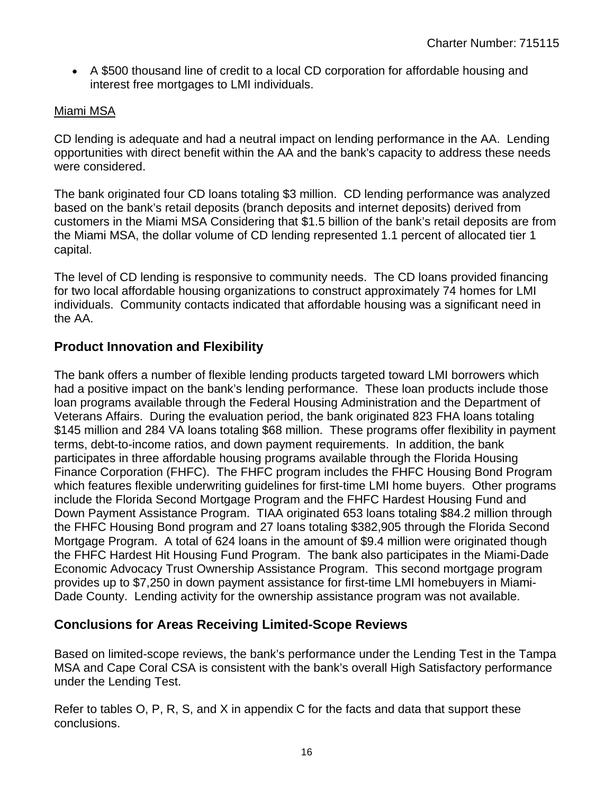A \$500 thousand line of credit to a local CD corporation for affordable housing and interest free mortgages to LMI individuals.

#### Miami MSA

CD lending is adequate and had a neutral impact on lending performance in the AA. Lending opportunities with direct benefit within the AA and the bank's capacity to address these needs were considered.

The bank originated four CD loans totaling \$3 million. CD lending performance was analyzed based on the bank's retail deposits (branch deposits and internet deposits) derived from customers in the Miami MSA Considering that \$1.5 billion of the bank's retail deposits are from the Miami MSA, the dollar volume of CD lending represented 1.1 percent of allocated tier 1 capital.

The level of CD lending is responsive to community needs. The CD loans provided financing for two local affordable housing organizations to construct approximately 74 homes for LMI individuals. Community contacts indicated that affordable housing was a significant need in the AA.

#### **Product Innovation and Flexibility**

The bank offers a number of flexible lending products targeted toward LMI borrowers which had a positive impact on the bank's lending performance. These loan products include those loan programs available through the Federal Housing Administration and the Department of Veterans Affairs. During the evaluation period, the bank originated 823 FHA loans totaling \$145 million and 284 VA loans totaling \$68 million. These programs offer flexibility in payment terms, debt-to-income ratios, and down payment requirements. In addition, the bank participates in three affordable housing programs available through the Florida Housing Finance Corporation (FHFC). The FHFC program includes the FHFC Housing Bond Program which features flexible underwriting guidelines for first-time LMI home buyers. Other programs include the Florida Second Mortgage Program and the FHFC Hardest Housing Fund and Down Payment Assistance Program. TIAA originated 653 loans totaling \$84.2 million through the FHFC Housing Bond program and 27 loans totaling \$382,905 through the Florida Second Mortgage Program. A total of 624 loans in the amount of \$9.4 million were originated though the FHFC Hardest Hit Housing Fund Program. The bank also participates in the Miami-Dade Economic Advocacy Trust Ownership Assistance Program. This second mortgage program provides up to \$7,250 in down payment assistance for first-time LMI homebuyers in Miami-Dade County. Lending activity for the ownership assistance program was not available.

#### **Conclusions for Areas Receiving Limited-Scope Reviews**

Based on limited-scope reviews, the bank's performance under the Lending Test in the Tampa MSA and Cape Coral CSA is consistent with the bank's overall High Satisfactory performance under the Lending Test.

Refer to tables O, P, R, S, and X in appendix C for the facts and data that support these conclusions.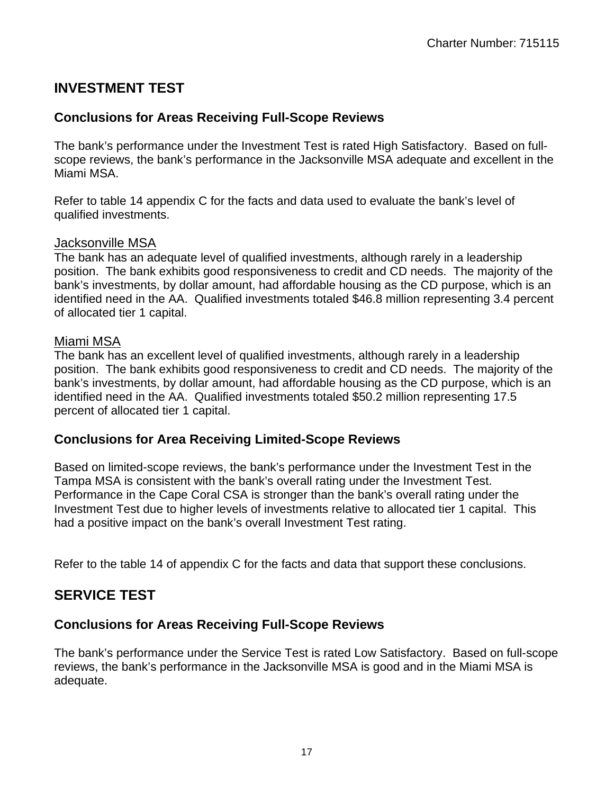## **INVESTMENT TEST**

## **Conclusions for Areas Receiving Full-Scope Reviews**

The bank's performance under the Investment Test is rated High Satisfactory. Based on fullscope reviews, the bank's performance in the Jacksonville MSA adequate and excellent in the Miami MSA.

Refer to table 14 appendix C for the facts and data used to evaluate the bank's level of qualified investments.

#### Jacksonville MSA

The bank has an adequate level of qualified investments, although rarely in a leadership position. The bank exhibits good responsiveness to credit and CD needs. The majority of the bank's investments, by dollar amount, had affordable housing as the CD purpose, which is an identified need in the AA. Qualified investments totaled \$46.8 million representing 3.4 percent of allocated tier 1 capital.

#### Miami MSA

The bank has an excellent level of qualified investments, although rarely in a leadership position. The bank exhibits good responsiveness to credit and CD needs. The majority of the bank's investments, by dollar amount, had affordable housing as the CD purpose, which is an identified need in the AA. Qualified investments totaled \$50.2 million representing 17.5 percent of allocated tier 1 capital.

#### **Conclusions for Area Receiving Limited-Scope Reviews**

Based on limited-scope reviews, the bank's performance under the Investment Test in the Tampa MSA is consistent with the bank's overall rating under the Investment Test. Performance in the Cape Coral CSA is stronger than the bank's overall rating under the Investment Test due to higher levels of investments relative to allocated tier 1 capital. This had a positive impact on the bank's overall Investment Test rating.

Refer to the table 14 of appendix C for the facts and data that support these conclusions.

## **SERVICE TEST**

#### **Conclusions for Areas Receiving Full-Scope Reviews**

The bank's performance under the Service Test is rated Low Satisfactory. Based on full-scope reviews, the bank's performance in the Jacksonville MSA is good and in the Miami MSA is adequate.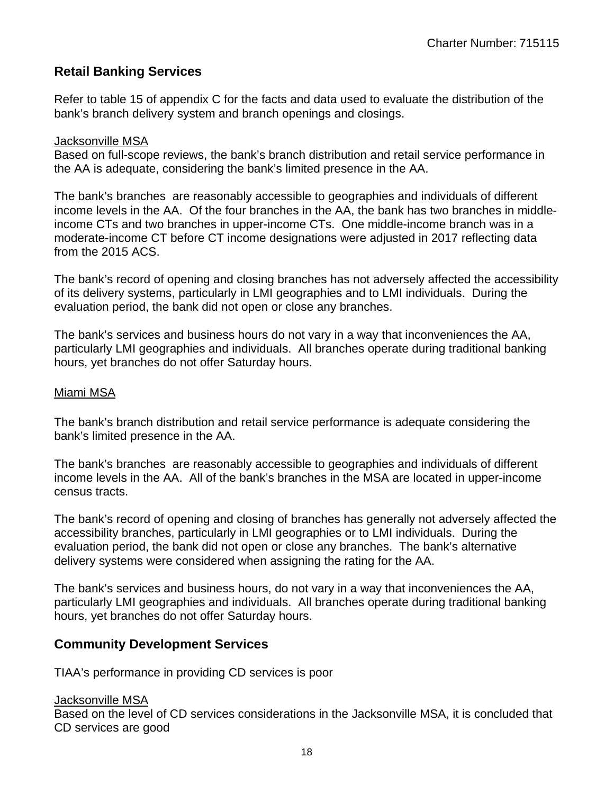#### **Retail Banking Services**

Refer to table 15 of appendix C for the facts and data used to evaluate the distribution of the bank's branch delivery system and branch openings and closings.

#### Jacksonville MSA

Based on full-scope reviews, the bank's branch distribution and retail service performance in the AA is adequate, considering the bank's limited presence in the AA.

The bank's branches are reasonably accessible to geographies and individuals of different income levels in the AA. Of the four branches in the AA, the bank has two branches in middleincome CTs and two branches in upper-income CTs. One middle-income branch was in a moderate-income CT before CT income designations were adjusted in 2017 reflecting data from the 2015 ACS.

The bank's record of opening and closing branches has not adversely affected the accessibility of its delivery systems, particularly in LMI geographies and to LMI individuals. During the evaluation period, the bank did not open or close any branches.

The bank's services and business hours do not vary in a way that inconveniences the AA, particularly LMI geographies and individuals. All branches operate during traditional banking hours, yet branches do not offer Saturday hours.

#### Miami MSA

The bank's branch distribution and retail service performance is adequate considering the bank's limited presence in the AA.

The bank's branches are reasonably accessible to geographies and individuals of different income levels in the AA. All of the bank's branches in the MSA are located in upper-income census tracts.

The bank's record of opening and closing of branches has generally not adversely affected the accessibility branches, particularly in LMI geographies or to LMI individuals. During the evaluation period, the bank did not open or close any branches. The bank's alternative delivery systems were considered when assigning the rating for the AA.

The bank's services and business hours, do not vary in a way that inconveniences the AA, particularly LMI geographies and individuals. All branches operate during traditional banking hours, yet branches do not offer Saturday hours.

#### **Community Development Services**

TIAA's performance in providing CD services is poor

#### Jacksonville MSA

Based on the level of CD services considerations in the Jacksonville MSA, it is concluded that CD services are good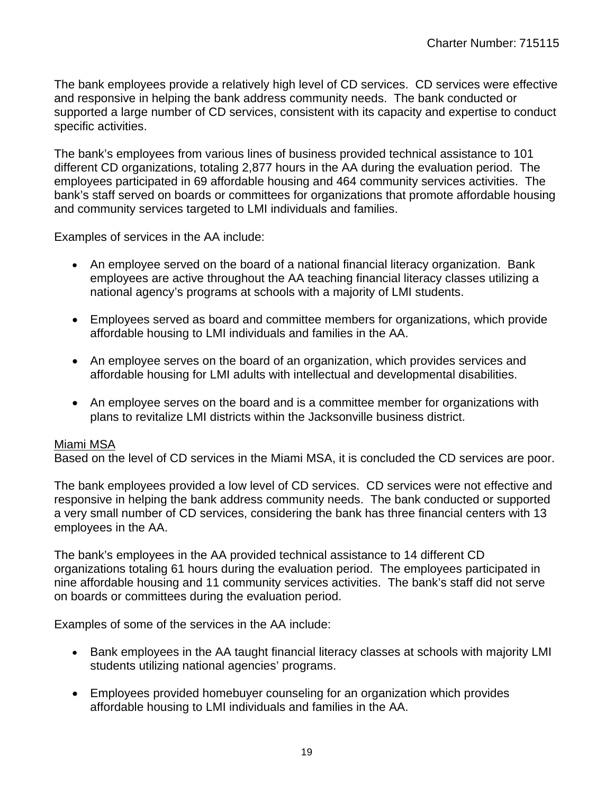The bank employees provide a relatively high level of CD services. CD services were effective and responsive in helping the bank address community needs. The bank conducted or supported a large number of CD services, consistent with its capacity and expertise to conduct specific activities.

The bank's employees from various lines of business provided technical assistance to 101 different CD organizations, totaling 2,877 hours in the AA during the evaluation period. The employees participated in 69 affordable housing and 464 community services activities. The bank's staff served on boards or committees for organizations that promote affordable housing and community services targeted to LMI individuals and families.

Examples of services in the AA include:

- An employee served on the board of a national financial literacy organization. Bank employees are active throughout the AA teaching financial literacy classes utilizing a national agency's programs at schools with a majority of LMI students.
- Employees served as board and committee members for organizations, which provide affordable housing to LMI individuals and families in the AA.
- An employee serves on the board of an organization, which provides services and affordable housing for LMI adults with intellectual and developmental disabilities.
- An employee serves on the board and is a committee member for organizations with plans to revitalize LMI districts within the Jacksonville business district.

#### Miami MSA

Based on the level of CD services in the Miami MSA, it is concluded the CD services are poor.

The bank employees provided a low level of CD services. CD services were not effective and responsive in helping the bank address community needs. The bank conducted or supported a very small number of CD services, considering the bank has three financial centers with 13 employees in the AA.

The bank's employees in the AA provided technical assistance to 14 different CD organizations totaling 61 hours during the evaluation period. The employees participated in nine affordable housing and 11 community services activities. The bank's staff did not serve on boards or committees during the evaluation period.

Examples of some of the services in the AA include:

- Bank employees in the AA taught financial literacy classes at schools with majority LMI students utilizing national agencies' programs.
- Employees provided homebuyer counseling for an organization which provides affordable housing to LMI individuals and families in the AA.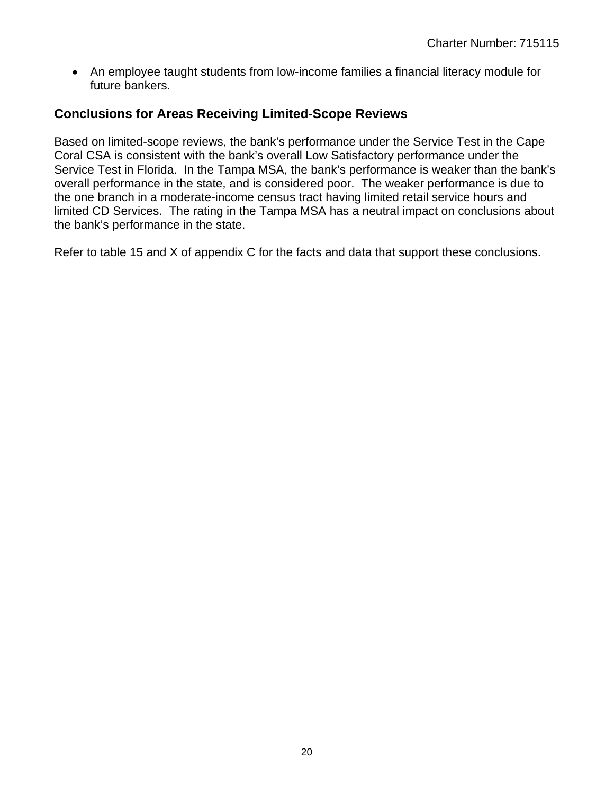An employee taught students from low-income families a financial literacy module for future bankers.

#### **Conclusions for Areas Receiving Limited-Scope Reviews**

Based on limited-scope reviews, the bank's performance under the Service Test in the Cape Coral CSA is consistent with the bank's overall Low Satisfactory performance under the Service Test in Florida. In the Tampa MSA, the bank's performance is weaker than the bank's overall performance in the state, and is considered poor. The weaker performance is due to the one branch in a moderate-income census tract having limited retail service hours and limited CD Services. The rating in the Tampa MSA has a neutral impact on conclusions about the bank's performance in the state.

Refer to table 15 and X of appendix C for the facts and data that support these conclusions.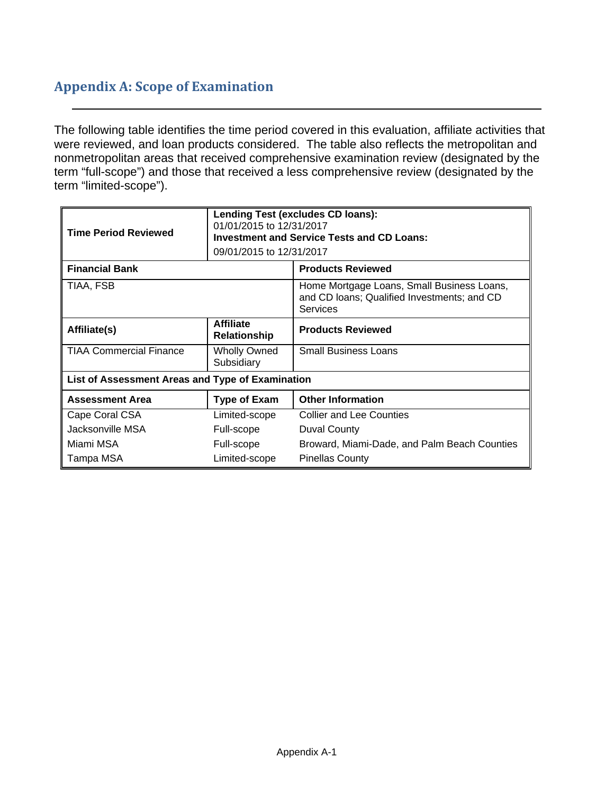## **Appendix A: Scope of Examination**

The following table identifies the time period covered in this evaluation, affiliate activities that were reviewed, and loan products considered. The table also reflects the metropolitan and nonmetropolitan areas that received comprehensive examination review (designated by the term "full-scope") and those that received a less comprehensive review (designated by the term "limited-scope").

| <b>Time Period Reviewed</b>                      | 01/01/2015 to 12/31/2017<br>09/01/2015 to 12/31/2017 | Lending Test (excludes CD loans):<br><b>Investment and Service Tests and CD Loans:</b>                |  |  |  |  |  |  |
|--------------------------------------------------|------------------------------------------------------|-------------------------------------------------------------------------------------------------------|--|--|--|--|--|--|
| <b>Financial Bank</b>                            |                                                      | <b>Products Reviewed</b>                                                                              |  |  |  |  |  |  |
| TIAA, FSB                                        |                                                      | Home Mortgage Loans, Small Business Loans,<br>and CD loans; Qualified Investments; and CD<br>Services |  |  |  |  |  |  |
| Affiliate(s)                                     | <b>Affiliate</b><br><b>Relationship</b>              | <b>Products Reviewed</b>                                                                              |  |  |  |  |  |  |
| <b>TIAA Commercial Finance</b>                   | <b>Wholly Owned</b><br>Subsidiary                    | <b>Small Business Loans</b>                                                                           |  |  |  |  |  |  |
| List of Assessment Areas and Type of Examination |                                                      |                                                                                                       |  |  |  |  |  |  |
| <b>Assessment Area</b>                           | <b>Type of Exam</b>                                  | <b>Other Information</b>                                                                              |  |  |  |  |  |  |
| Cape Coral CSA                                   | Limited-scope                                        | <b>Collier and Lee Counties</b>                                                                       |  |  |  |  |  |  |
| Jacksonville MSA                                 | Full-scope                                           | <b>Duval County</b>                                                                                   |  |  |  |  |  |  |
| Miami MSA                                        | Full-scope                                           | Broward, Miami-Dade, and Palm Beach Counties                                                          |  |  |  |  |  |  |
| Tampa MSA                                        | Limited-scope                                        | <b>Pinellas County</b>                                                                                |  |  |  |  |  |  |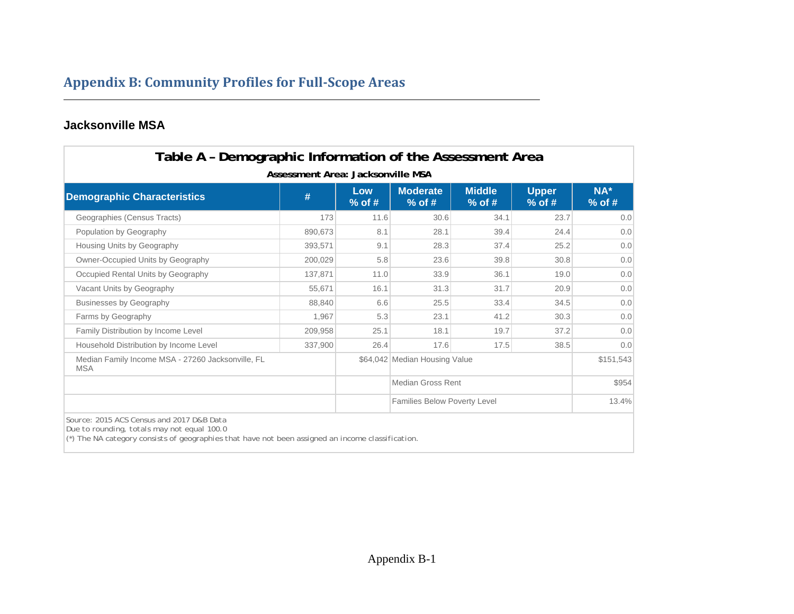## **Appendix B: Community Profiles for Full‐Scope Areas**

#### **Jacksonville MSA**

| Table A - Demographic Information of the Assessment Area                                                                                                                                        |                                        |                 |                                     |                           |                          |                 |
|-------------------------------------------------------------------------------------------------------------------------------------------------------------------------------------------------|----------------------------------------|-----------------|-------------------------------------|---------------------------|--------------------------|-----------------|
| <b>Demographic Characteristics</b>                                                                                                                                                              | Assessment Area: Jacksonville MSA<br># | Low<br>$%$ of # | <b>Moderate</b><br>$%$ of #         | <b>Middle</b><br>$%$ of # | <b>Upper</b><br>$%$ of # | NA*<br>$%$ of # |
| Geographies (Census Tracts)                                                                                                                                                                     | 173                                    | 11.6            | 30.6                                | 34.1                      | 23.7                     | 0.0             |
| Population by Geography                                                                                                                                                                         | 890.673                                | 8.1             | 28.1                                | 39.4                      | 24.4                     | 0.0             |
| Housing Units by Geography                                                                                                                                                                      | 393,571                                | 9.1             | 28.3                                | 37.4                      | 25.2                     | 0.0             |
| Owner-Occupied Units by Geography                                                                                                                                                               | 200,029                                | 5.8             | 23.6                                | 39.8                      | 30.8                     | 0.0             |
| Occupied Rental Units by Geography                                                                                                                                                              | 137,871                                | 11.0            | 33.9                                | 36.1                      | 19.0                     | 0.0             |
| Vacant Units by Geography                                                                                                                                                                       | 55,671                                 | 16.1            | 31.3                                | 31.7                      | 20.9                     | 0.0             |
| <b>Businesses by Geography</b>                                                                                                                                                                  | 88,840                                 | 6.6             | 25.5                                | 33.4                      | 34.5                     | 0.0             |
| Farms by Geography                                                                                                                                                                              | 1,967                                  | 5.3             | 23.1                                | 41.2                      | 30.3                     | 0.0             |
| Family Distribution by Income Level                                                                                                                                                             | 209,958                                | 25.1            | 18.1                                | 19.7                      | 37.2                     | 0.0             |
| Household Distribution by Income Level                                                                                                                                                          | 337,900                                | 26.4            | 17.6                                | 17.5                      | 38.5                     | 0.0             |
| Median Family Income MSA - 27260 Jacksonville, FL<br><b>MSA</b>                                                                                                                                 |                                        |                 | \$64,042 Median Housing Value       |                           |                          | \$151,543       |
|                                                                                                                                                                                                 |                                        |                 | Median Gross Rent                   |                           |                          | \$954           |
|                                                                                                                                                                                                 |                                        |                 | <b>Families Below Poverty Level</b> |                           |                          | 13.4%           |
| Source: 2015 ACS Census and 2017 D&B Data<br>Due to rounding, totals may not equal 100.0<br>$(*)$ The NA category consists of geographies that have not been assigned an income classification. |                                        |                 |                                     |                           |                          |                 |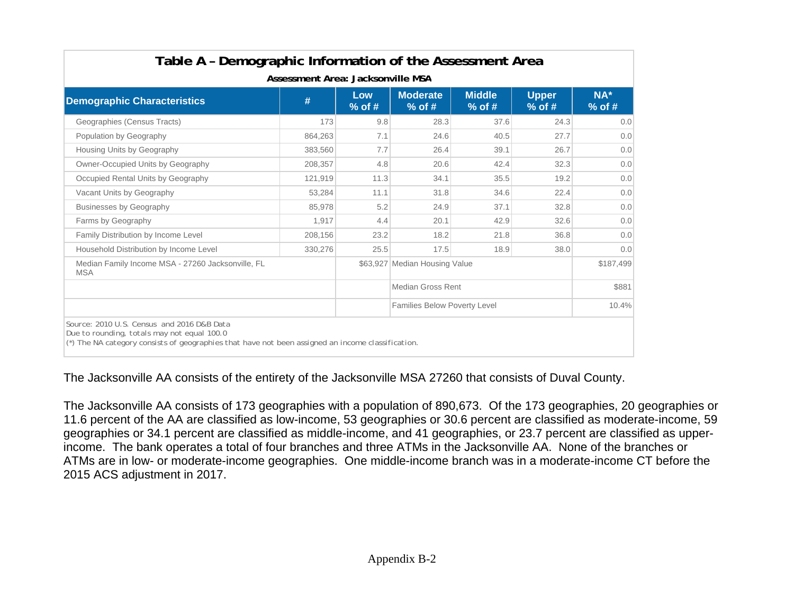| Table A - Demographic Information of the Assessment Area                                                                                                                                          | Assessment Area: Jacksonville MSA                                                                                        |      |                                     |      |      |           |  |  |  |  |  |  |  |  |  |
|---------------------------------------------------------------------------------------------------------------------------------------------------------------------------------------------------|--------------------------------------------------------------------------------------------------------------------------|------|-------------------------------------|------|------|-----------|--|--|--|--|--|--|--|--|--|
| <b>Demographic Characteristics</b>                                                                                                                                                                | <b>Moderate</b><br><b>Middle</b><br><b>Upper</b><br>Low<br>#<br>$%$ of #<br>$%$ of #<br>$%$ of #<br>$%$ of #<br>$%$ of # |      |                                     |      |      |           |  |  |  |  |  |  |  |  |  |
| Geographies (Census Tracts)                                                                                                                                                                       | 173                                                                                                                      | 9.8  | 28.3                                | 37.6 | 24.3 | 0.0       |  |  |  |  |  |  |  |  |  |
| Population by Geography                                                                                                                                                                           | 864,263                                                                                                                  | 7.1  | 24.6                                | 40.5 | 27.7 | 0.0       |  |  |  |  |  |  |  |  |  |
| Housing Units by Geography                                                                                                                                                                        | 383,560                                                                                                                  | 7.7  | 26.4                                | 39.1 | 26.7 | 0.0       |  |  |  |  |  |  |  |  |  |
| Owner-Occupied Units by Geography                                                                                                                                                                 | 208,357                                                                                                                  | 4.8  | 20.6                                | 42.4 | 32.3 | 0.0       |  |  |  |  |  |  |  |  |  |
| Occupied Rental Units by Geography                                                                                                                                                                | 121,919                                                                                                                  | 11.3 | 34.1                                | 35.5 | 19.2 | 0.0       |  |  |  |  |  |  |  |  |  |
| Vacant Units by Geography                                                                                                                                                                         | 53,284                                                                                                                   | 11.1 | 31.8                                | 34.6 | 22.4 | 0.0       |  |  |  |  |  |  |  |  |  |
| <b>Businesses by Geography</b>                                                                                                                                                                    | 85.978                                                                                                                   | 5.2  | 24.9                                | 37.1 | 32.8 | 0.0       |  |  |  |  |  |  |  |  |  |
| Farms by Geography                                                                                                                                                                                | 1,917                                                                                                                    | 4.4  | 20.1                                | 42.9 | 32.6 | 0.0       |  |  |  |  |  |  |  |  |  |
| Family Distribution by Income Level                                                                                                                                                               | 208,156                                                                                                                  | 23.2 | 18.2                                | 21.8 | 36.8 | 0.0       |  |  |  |  |  |  |  |  |  |
| Household Distribution by Income Level                                                                                                                                                            | 330,276                                                                                                                  | 25.5 | 17.5                                | 18.9 | 38.0 | 0.0       |  |  |  |  |  |  |  |  |  |
| Median Family Income MSA - 27260 Jacksonville, FL<br><b>MSA</b>                                                                                                                                   |                                                                                                                          |      | \$63,927 Median Housing Value       |      |      | \$187,499 |  |  |  |  |  |  |  |  |  |
|                                                                                                                                                                                                   |                                                                                                                          |      | Median Gross Rent                   |      |      | \$881     |  |  |  |  |  |  |  |  |  |
|                                                                                                                                                                                                   |                                                                                                                          |      | <b>Families Below Poverty Level</b> |      |      | 10.4%     |  |  |  |  |  |  |  |  |  |
| Source: 2010 U.S. Census and 2016 D&B Data<br>Due to rounding, totals may not equal 100.0<br>$^*$ ) The NA category consists of geographies that have not been assigned an income classification. |                                                                                                                          |      |                                     |      |      |           |  |  |  |  |  |  |  |  |  |

The Jacksonville AA consists of the entirety of the Jacksonville MSA 27260 that consists of Duval County.

The Jacksonville AA consists of 173 geographies with a population of 890,673. Of the 173 geographies, 20 geographies or 11.6 percent of the AA are classified as low-income, 53 geographies or 30.6 percent are classified as moderate-income, 59 geographies or 34.1 percent are classified as middle-income, and 41 geographies, or 23.7 percent are classified as upperincome. The bank operates a total of four branches and three ATMs in the Jacksonville AA. None of the branches or ATMs are in low- or moderate-income geographies. One middle-income branch was in a moderate-income CT before the 2015 ACS adjustment in 2017.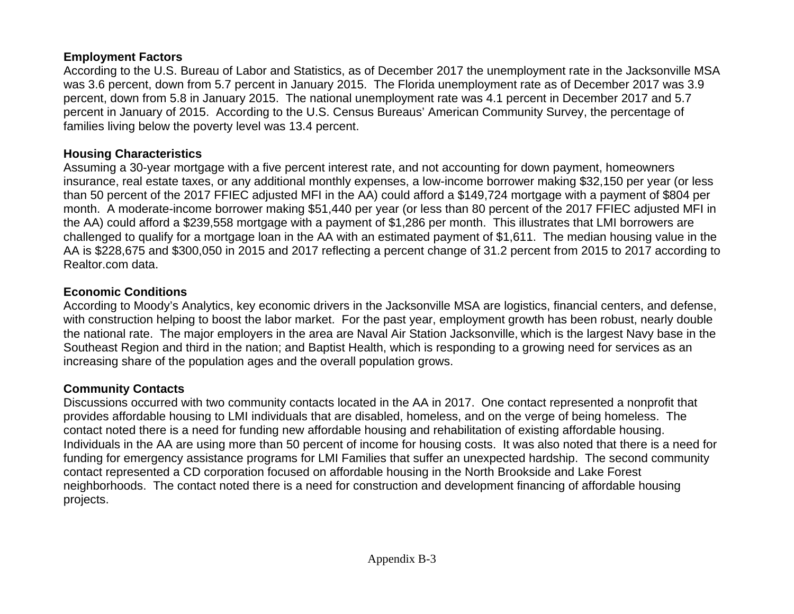#### **Employment Factors**

According to the U.S. Bureau of Labor and Statistics, as of December 2017 the unemployment rate in the Jacksonville MSA was 3.6 percent, down from 5.7 percent in January 2015. The Florida unemployment rate as of December 2017 was 3.9 percent, down from 5.8 in January 2015. The national unemployment rate was 4.1 percent in December 2017 and 5.7 percent in January of 2015. According to the U.S. Census Bureaus' American Community Survey, the percentage of families living below the poverty level was 13.4 percent.

#### **Housing Characteristics**

Assuming a 30-year mortgage with a five percent interest rate, and not accounting for down payment, homeowners insurance, real estate taxes, or any additional monthly expenses, a low-income borrower making \$32,150 per year (or less than 50 percent of the 2017 FFIEC adjusted MFI in the AA) could afford a \$149,724 mortgage with a payment of \$804 per month. A moderate-income borrower making \$51,440 per year (or less than 80 percent of the 2017 FFIEC adjusted MFI in the AA) could afford a \$239,558 mortgage with a payment of \$1,286 per month. This illustrates that LMI borrowers are challenged to qualify for a mortgage loan in the AA with an estimated payment of \$1,611. The median housing value in the AA is \$228,675 and \$300,050 in 2015 and 2017 reflecting a percent change of 31.2 percent from 2015 to 2017 according to Realtor.com data.

## **Economic Conditions**

According to Moody's Analytics, key economic drivers in the Jacksonville MSA are logistics, financial centers, and defense, with construction helping to boost the labor market. For the past year, employment growth has been robust, nearly double the national rate. The major employers in the area are Naval Air Station Jacksonville, which is the largest Navy base in the Southeast Region and third in the nation; and Baptist Health, which is responding to a growing need for services as an increasing share of the population ages and the overall population grows.

## **Community Contacts**

Discussions occurred with two community contacts located in the AA in 2017. One contact represented a nonprofit that provides affordable housing to LMI individuals that are disabled, homeless, and on the verge of being homeless. The contact noted there is a need for funding new affordable housing and rehabilitation of existing affordable housing. Individuals in the AA are using more than 50 percent of income for housing costs. It was also noted that there is a need for funding for emergency assistance programs for LMI Families that suffer an unexpected hardship. The second community contact represented a CD corporation focused on affordable housing in the North Brookside and Lake Forest neighborhoods. The contact noted there is a need for construction and development financing of affordable housing projects.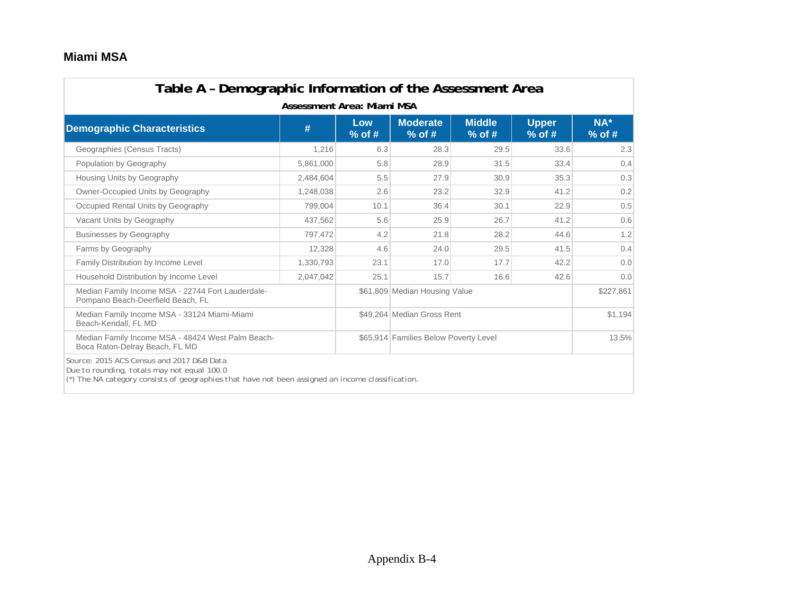#### **Miami MSA**

| Table A - Demographic Information of the Assessment Area<br>Assessment Area: Miami MSA                                                                                                        |           |                 |                                       |                           |                          |                 |  |  |  |  |  |  |  |  |
|-----------------------------------------------------------------------------------------------------------------------------------------------------------------------------------------------|-----------|-----------------|---------------------------------------|---------------------------|--------------------------|-----------------|--|--|--|--|--|--|--|--|
| <b>Demographic Characteristics</b>                                                                                                                                                            | #         | Low<br>$%$ of # | <b>Moderate</b><br>$%$ of #           | <b>Middle</b><br>$%$ of # | <b>Upper</b><br>$%$ of # | NA*<br>$%$ of # |  |  |  |  |  |  |  |  |
| Geographies (Census Tracts)                                                                                                                                                                   | 1,216     | 6.3             | 28.3                                  | 29.5                      | 33.6                     | 2.3             |  |  |  |  |  |  |  |  |
| Population by Geography                                                                                                                                                                       | 5,861,000 | 5.8             | 28.9                                  | 31.5                      | 33.4                     | 0.4             |  |  |  |  |  |  |  |  |
| Housing Units by Geography                                                                                                                                                                    | 2,484,604 | 5.5             | 27.9                                  | 30.9                      | 35.3                     | 0.3             |  |  |  |  |  |  |  |  |
| Owner-Occupied Units by Geography                                                                                                                                                             | 1,248,038 | 2.6             | 23.2                                  | 32.9                      | 41.2                     | 0.2             |  |  |  |  |  |  |  |  |
| Occupied Rental Units by Geography                                                                                                                                                            | 799,004   | 10.1            | 36.4                                  | 30.1                      | 22.9                     | 0.5             |  |  |  |  |  |  |  |  |
| Vacant Units by Geography                                                                                                                                                                     | 437,562   | 5.6             | 25.9                                  | 26.7                      | 41.2                     | 0.6             |  |  |  |  |  |  |  |  |
| <b>Businesses by Geography</b>                                                                                                                                                                | 797,472   | 4.2             | 21.8                                  | 28.2                      | 44.6                     | 1.2             |  |  |  |  |  |  |  |  |
| Farms by Geography                                                                                                                                                                            | 12,328    | 4.6             | 24.0                                  | 29.5                      | 41.5                     | 0.4             |  |  |  |  |  |  |  |  |
| Family Distribution by Income Level                                                                                                                                                           | 1,330,793 | 23.1            | 17.0                                  | 17.7                      | 42.2                     | 0.0             |  |  |  |  |  |  |  |  |
| Household Distribution by Income Level                                                                                                                                                        | 2.047.042 | 25.1            | 15.7                                  | 16.6                      | 42.6                     | 0.0             |  |  |  |  |  |  |  |  |
| Median Family Income MSA - 22744 Fort Lauderdale-<br>Pompano Beach-Deerfield Beach, FL                                                                                                        |           |                 | \$61,809 Median Housing Value         |                           |                          | \$227,861       |  |  |  |  |  |  |  |  |
| Median Family Income MSA - 33124 Miami-Miami<br>Beach-Kendall, FL MD                                                                                                                          |           |                 | \$49.264 Median Gross Rent            |                           |                          | \$1,194         |  |  |  |  |  |  |  |  |
| Median Family Income MSA - 48424 West Palm Beach-<br>Boca Raton-Delray Beach, FL MD                                                                                                           |           |                 | \$65,914 Families Below Poverty Level |                           |                          | 13.5%           |  |  |  |  |  |  |  |  |
| Source: 2015 ACS Census and 2017 D&B Data<br>Due to rounding, totals may not equal 100.0<br>(*) The NA category consists of geographies that have not been assigned an income classification. |           |                 |                                       |                           |                          |                 |  |  |  |  |  |  |  |  |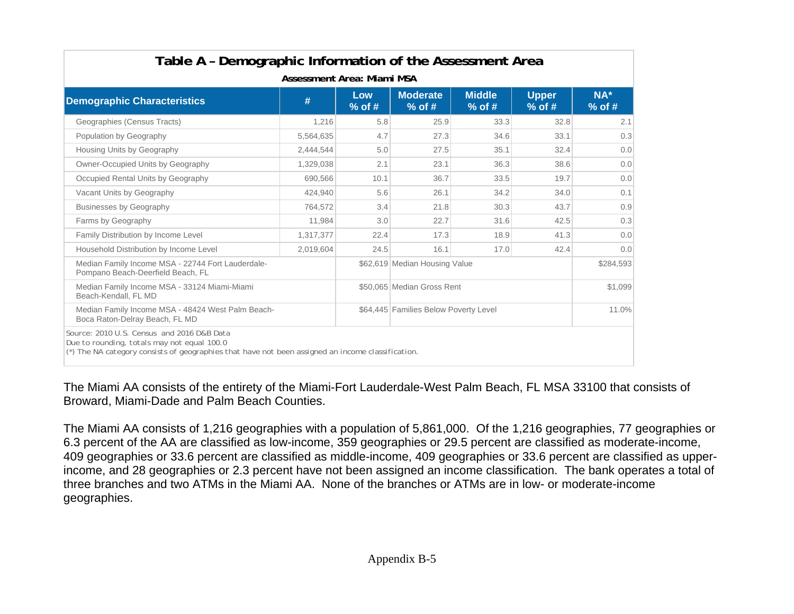|                                                                                        | Assessment Area: Miami MSA |                 |                                       |                           |                          |                    |  |  |  |  |  |  |  |  |  |
|----------------------------------------------------------------------------------------|----------------------------|-----------------|---------------------------------------|---------------------------|--------------------------|--------------------|--|--|--|--|--|--|--|--|--|
| <b>Demographic Characteristics</b>                                                     | #                          | Low<br>$%$ of # | <b>Moderate</b><br>$%$ of #           | <b>Middle</b><br>$%$ of # | <b>Upper</b><br>$%$ of # | $NA^*$<br>$%$ of # |  |  |  |  |  |  |  |  |  |
| Geographies (Census Tracts)                                                            | 1,216                      | 5.8             | 25.9                                  | 33.3                      | 32.8                     | 2.1                |  |  |  |  |  |  |  |  |  |
| Population by Geography                                                                | 5,564,635                  | 4.7             | 27.3                                  | 34.6                      | 33.1                     | 0.3                |  |  |  |  |  |  |  |  |  |
| Housing Units by Geography                                                             | 2,444,544                  | 5.0             | 27.5                                  | 35.1                      | 32.4                     | 0.0                |  |  |  |  |  |  |  |  |  |
| Owner-Occupied Units by Geography                                                      | 1,329,038                  | 2.1             | 23.1                                  | 36.3                      | 38.6                     | 0.0                |  |  |  |  |  |  |  |  |  |
| Occupied Rental Units by Geography                                                     | 690,566                    | 10.1            | 36.7                                  | 33.5                      | 19.7                     | 0.0                |  |  |  |  |  |  |  |  |  |
| Vacant Units by Geography                                                              | 424,940                    | 5.6             | 26.1                                  | 34.2                      | 34.0                     | 0.1                |  |  |  |  |  |  |  |  |  |
| <b>Businesses by Geography</b>                                                         | 764,572                    | 3.4             | 21.8                                  | 30.3                      | 43.7                     | 0.9                |  |  |  |  |  |  |  |  |  |
| Farms by Geography                                                                     | 11,984                     | 3.0             | 22.7                                  | 31.6                      | 42.5                     | 0.3                |  |  |  |  |  |  |  |  |  |
| Family Distribution by Income Level                                                    | 1,317,377                  | 22.4            | 17.3                                  | 18.9                      | 41.3                     | 0.0                |  |  |  |  |  |  |  |  |  |
| Household Distribution by Income Level                                                 | 2.019.604                  | 24.5            | 16.1                                  | 17.0                      | 42.4                     | 0.0                |  |  |  |  |  |  |  |  |  |
| Median Family Income MSA - 22744 Fort Lauderdale-<br>Pompano Beach-Deerfield Beach, FL |                            |                 | \$62,619 Median Housing Value         |                           |                          | \$284,593          |  |  |  |  |  |  |  |  |  |
| Median Family Income MSA - 33124 Miami-Miami<br>Beach-Kendall, FL MD                   |                            |                 | \$50,065 Median Gross Rent            |                           |                          | \$1,099            |  |  |  |  |  |  |  |  |  |
| Median Family Income MSA - 48424 West Palm Beach-<br>Boca Raton-Delray Beach, FL MD    |                            |                 | \$64,445 Families Below Poverty Level |                           |                          | 11.0%              |  |  |  |  |  |  |  |  |  |

The Miami AA consists of the entirety of the Miami-Fort Lauderdale-West Palm Beach, FL MSA 33100 that consists of Broward, Miami-Dade and Palm Beach Counties.

The Miami AA consists of 1,216 geographies with a population of 5,861,000. Of the 1,216 geographies, 77 geographies or 6.3 percent of the AA are classified as low-income, 359 geographies or 29.5 percent are classified as moderate-income, 409 geographies or 33.6 percent are classified as middle-income, 409 geographies or 33.6 percent are classified as upperincome, and 28 geographies or 2.3 percent have not been assigned an income classification. The bank operates a total of three branches and two ATMs in the Miami AA. None of the branches or ATMs are in low- or moderate-income geographies.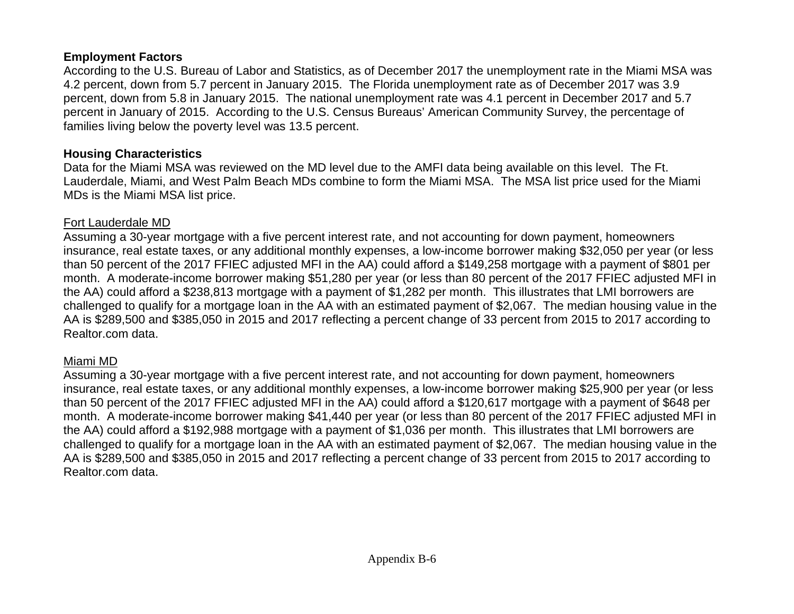#### **Employment Factors**

According to the U.S. Bureau of Labor and Statistics, as of December 2017 the unemployment rate in the Miami MSA was 4.2 percent, down from 5.7 percent in January 2015. The Florida unemployment rate as of December 2017 was 3.9 percent, down from 5.8 in January 2015. The national unemployment rate was 4.1 percent in December 2017 and 5.7 percent in January of 2015. According to the U.S. Census Bureaus' American Community Survey, the percentage of families living below the poverty level was 13.5 percent.

#### **Housing Characteristics**

Data for the Miami MSA was reviewed on the MD level due to the AMFI data being available on this level. The Ft. Lauderdale, Miami, and West Palm Beach MDs combine to form the Miami MSA. The MSA list price used for the Miami MDs is the Miami MSA list price.

#### Fort Lauderdale MD

Assuming a 30-year mortgage with a five percent interest rate, and not accounting for down payment, homeowners insurance, real estate taxes, or any additional monthly expenses, a low-income borrower making \$32,050 per year (or less than 50 percent of the 2017 FFIEC adjusted MFI in the AA) could afford a \$149,258 mortgage with a payment of \$801 per month. A moderate-income borrower making \$51,280 per year (or less than 80 percent of the 2017 FFIEC adjusted MFI in the AA) could afford a \$238,813 mortgage with a payment of \$1,282 per month. This illustrates that LMI borrowers are challenged to qualify for a mortgage loan in the AA with an estimated payment of \$2,067. The median housing value in the AA is \$289,500 and \$385,050 in 2015 and 2017 reflecting a percent change of 33 percent from 2015 to 2017 according to Realtor.com data.

#### Miami MD

Assuming a 30-year mortgage with a five percent interest rate, and not accounting for down payment, homeowners insurance, real estate taxes, or any additional monthly expenses, a low-income borrower making \$25,900 per year (or less than 50 percent of the 2017 FFIEC adjusted MFI in the AA) could afford a \$120,617 mortgage with a payment of \$648 per month. A moderate-income borrower making \$41,440 per year (or less than 80 percent of the 2017 FFIEC adjusted MFI in the AA) could afford a \$192,988 mortgage with a payment of \$1,036 per month. This illustrates that LMI borrowers are challenged to qualify for a mortgage loan in the AA with an estimated payment of \$2,067. The median housing value in the AA is \$289,500 and \$385,050 in 2015 and 2017 reflecting a percent change of 33 percent from 2015 to 2017 according to Realtor.com data.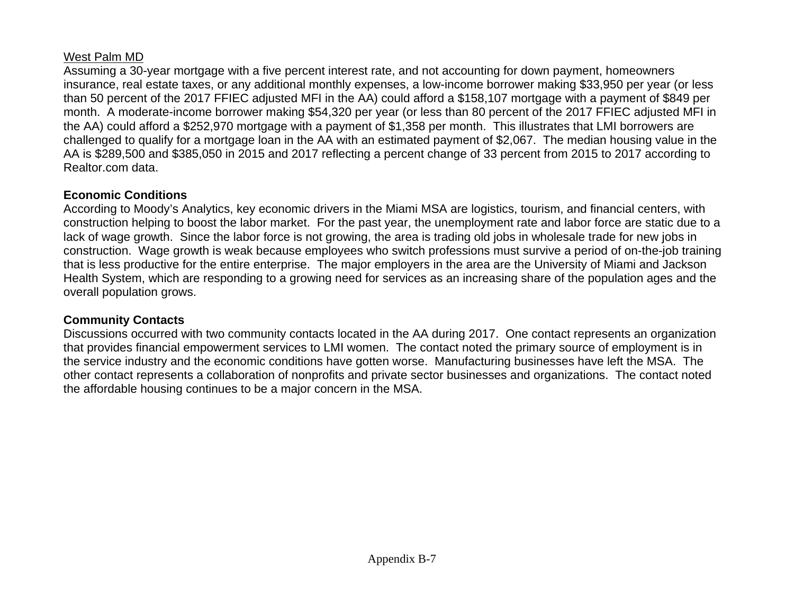#### West Palm MD

Assuming a 30-year mortgage with a five percent interest rate, and not accounting for down payment, homeowners insurance, real estate taxes, or any additional monthly expenses, a low-income borrower making \$33,950 per year (or less than 50 percent of the 2017 FFIEC adjusted MFI in the AA) could afford a \$158,107 mortgage with a payment of \$849 per month. A moderate-income borrower making \$54,320 per year (or less than 80 percent of the 2017 FFIEC adjusted MFI in the AA) could afford a \$252,970 mortgage with a payment of \$1,358 per month. This illustrates that LMI borrowers are challenged to qualify for a mortgage loan in the AA with an estimated payment of \$2,067. The median housing value in the AA is \$289,500 and \$385,050 in 2015 and 2017 reflecting a percent change of 33 percent from 2015 to 2017 according to Realtor.com data.

## **Economic Conditions**

According to Moody's Analytics, key economic drivers in the Miami MSA are logistics, tourism, and financial centers, with construction helping to boost the labor market. For the past year, the unemployment rate and labor force are static due to a lack of wage growth. Since the labor force is not growing, the area is trading old jobs in wholesale trade for new jobs in construction. Wage growth is weak because employees who switch professions must survive a period of on-the-job training that is less productive for the entire enterprise. The major employers in the area are the University of Miami and Jackson Health System, which are responding to a growing need for services as an increasing share of the population ages and the overall population grows.

## **Community Contacts**

Discussions occurred with two community contacts located in the AA during 2017. One contact represents an organization that provides financial empowerment services to LMI women. The contact noted the primary source of employment is in the service industry and the economic conditions have gotten worse. Manufacturing businesses have left the MSA. The other contact represents a collaboration of nonprofits and private sector businesses and organizations. The contact noted the affordable housing continues to be a major concern in the MSA.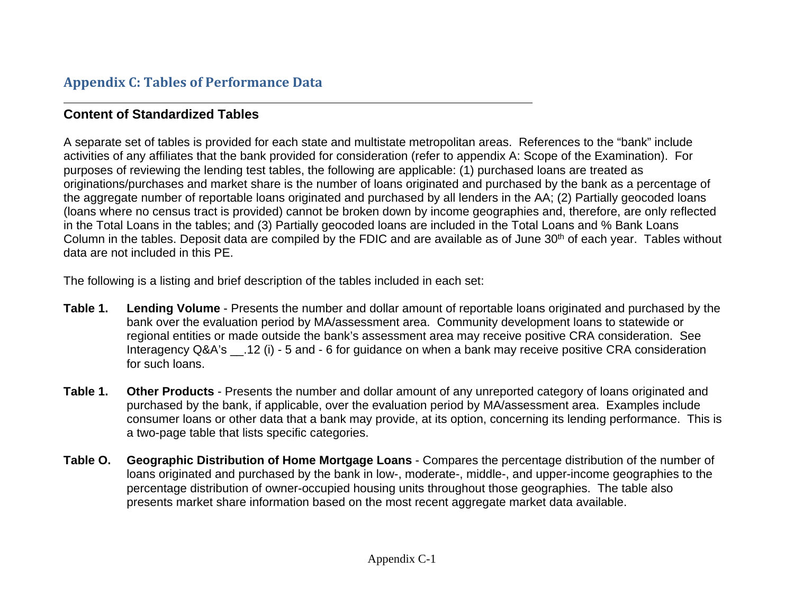## **Appendix C: Tables of Performance Data**

## **Content of Standardized Tables**

A separate set of tables is provided for each state and multistate metropolitan areas. References to the "bank" include activities of any affiliates that the bank provided for consideration (refer to appendix A: Scope of the Examination). For purposes of reviewing the lending test tables, the following are applicable: (1) purchased loans are treated as originations/purchases and market share is the number of loans originated and purchased by the bank as a percentage of the aggregate number of reportable loans originated and purchased by all lenders in the AA; (2) Partially geocoded loans (loans where no census tract is provided) cannot be broken down by income geographies and, therefore, are only reflected in the Total Loans in the tables; and (3) Partially geocoded loans are included in the Total Loans and % Bank Loans Column in the tables. Deposit data are compiled by the FDIC and are available as of June 30<sup>th</sup> of each year. Tables without data are not included in this PE.

The following is a listing and brief description of the tables included in each set:

- **Table 1. Lending Volume** Presents the number and dollar amount of reportable loans originated and purchased by the bank over the evaluation period by MA/assessment area. Community development loans to statewide or regional entities or made outside the bank's assessment area may receive positive CRA consideration. See Interagency Q&A's .12 (i) - 5 and - 6 for guidance on when a bank may receive positive CRA consideration for such loans.
- **Table 1. Other Products** Presents the number and dollar amount of any unreported category of loans originated and purchased by the bank, if applicable, over the evaluation period by MA/assessment area. Examples include consumer loans or other data that a bank may provide, at its option, concerning its lending performance. This is a two-page table that lists specific categories.
- **Table O. Geographic Distribution of Home Mortgage Loans** Compares the percentage distribution of the number of loans originated and purchased by the bank in low-, moderate-, middle-, and upper-income geographies to the percentage distribution of owner-occupied housing units throughout those geographies. The table also presents market share information based on the most recent aggregate market data available.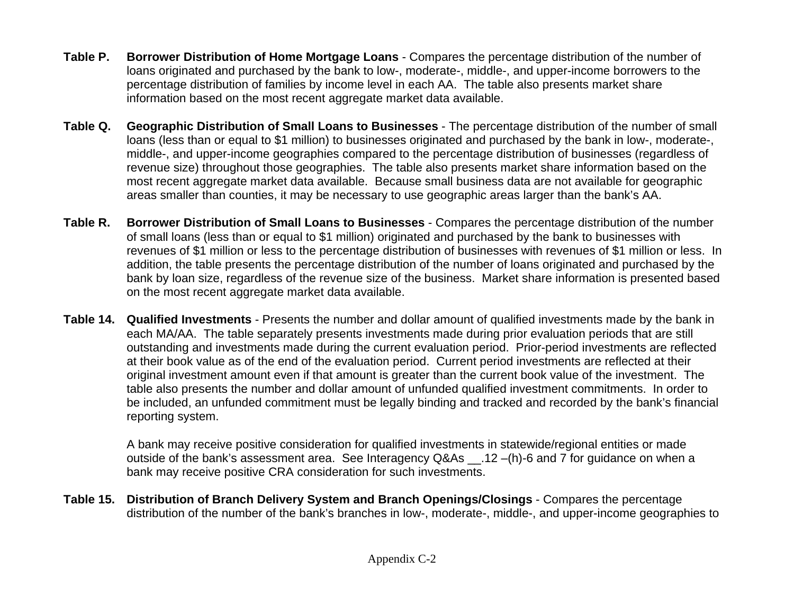- **Table P. Borrower Distribution of Home Mortgage Loans** Compares the percentage distribution of the number of loans originated and purchased by the bank to low-, moderate-, middle-, and upper-income borrowers to the percentage distribution of families by income level in each AA. The table also presents market share information based on the most recent aggregate market data available.
- **Table Q. Geographic Distribution of Small Loans to Businesses** The percentage distribution of the number of small loans (less than or equal to \$1 million) to businesses originated and purchased by the bank in low-, moderate-, middle-, and upper-income geographies compared to the percentage distribution of businesses (regardless of revenue size) throughout those geographies. The table also presents market share information based on the most recent aggregate market data available. Because small business data are not available for geographic areas smaller than counties, it may be necessary to use geographic areas larger than the bank's AA.
- **Table R. Borrower Distribution of Small Loans to Businesses** Compares the percentage distribution of the number of small loans (less than or equal to \$1 million) originated and purchased by the bank to businesses with revenues of \$1 million or less to the percentage distribution of businesses with revenues of \$1 million or less. In addition, the table presents the percentage distribution of the number of loans originated and purchased by the bank by loan size, regardless of the revenue size of the business. Market share information is presented based on the most recent aggregate market data available.
- **Table 14. Qualified Investments** Presents the number and dollar amount of qualified investments made by the bank in each MA/AA. The table separately presents investments made during prior evaluation periods that are still outstanding and investments made during the current evaluation period. Prior-period investments are reflected at their book value as of the end of the evaluation period. Current period investments are reflected at their original investment amount even if that amount is greater than the current book value of the investment. The table also presents the number and dollar amount of unfunded qualified investment commitments. In order to be included, an unfunded commitment must be legally binding and tracked and recorded by the bank's financial reporting system.

A bank may receive positive consideration for qualified investments in statewide/regional entities or made outside of the bank's assessment area. See Interagency Q&As \_\_.12 –(h)-6 and 7 for guidance on when a bank may receive positive CRA consideration for such investments.

**Table 15. Distribution of Branch Delivery System and Branch Openings/Closings** - Compares the percentage distribution of the number of the bank's branches in low-, moderate-, middle-, and upper-income geographies to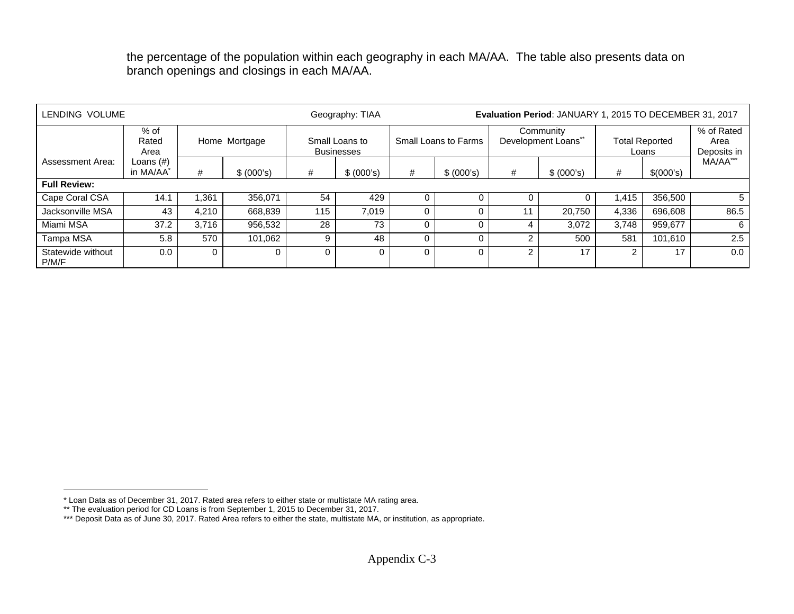the percentage of the population within each geography in each MA/AA. The table also presents data on branch openings and closings in each MA/AA.

| LENDING VOLUME             |                                       |       |               |     | Geography: TIAA                     |   |                      | Evaluation Period: JANUARY 1, 2015 TO DECEMBER 31, 2017 |                                  |       |                                |                                   |  |  |
|----------------------------|---------------------------------------|-------|---------------|-----|-------------------------------------|---|----------------------|---------------------------------------------------------|----------------------------------|-------|--------------------------------|-----------------------------------|--|--|
|                            | $%$ of<br>Rated<br>Area               |       | Home Mortgage |     | Small Loans to<br><b>Businesses</b> |   | Small Loans to Farms |                                                         | Community<br>Development Loans** |       | <b>Total Reported</b><br>Loans | % of Rated<br>Area<br>Deposits in |  |  |
| Assessment Area:           | Loans $(\#)$<br>in MA/AA <sup>*</sup> | #     | \$ (000's)    | #   | \$ (000's)                          | # | \$ (000's)           | #                                                       | \$ (000's)                       | #     | \$(000's)                      | MA/AA***                          |  |  |
| <b>Full Review:</b>        |                                       |       |               |     |                                     |   |                      |                                                         |                                  |       |                                |                                   |  |  |
| Cape Coral CSA             | 14.1                                  | .361  | 356,071       | 54  | 429                                 |   |                      |                                                         |                                  | 1.415 | 356,500                        | 5                                 |  |  |
| Jacksonville MSA           | 43                                    | 4,210 | 668,839       | 115 | 7.019                               |   |                      |                                                         | 20.750                           | 4,336 | 696,608                        | 86.5                              |  |  |
| Miami MSA                  | 37.2                                  | 3.716 | 956,532       | 28  | 73                                  |   |                      | 4                                                       | 3.072                            | 3.748 | 959,677                        | 6                                 |  |  |
| Tampa MSA                  | 5.8                                   | 570   | 101.062       | 9   | 48                                  |   |                      | ົ                                                       | 500                              | 581   | 101.610                        | 2.5                               |  |  |
| Statewide without<br>P/M/F | 0.0                                   |       | Ω             | 0   |                                     |   | $\Omega$             | 2                                                       | 17                               |       | 17                             | 0.0                               |  |  |

<sup>\*</sup> Loan Data as of December 31, 2017. Rated area refers to either state or multistate MA rating area.

<sup>\*\*</sup> The evaluation period for CD Loans is from September 1, 2015 to December 31, 2017.

<sup>\*\*\*</sup> Deposit Data as of June 30, 2017. Rated Area refers to either the state, multistate MA, or institution, as appropriate.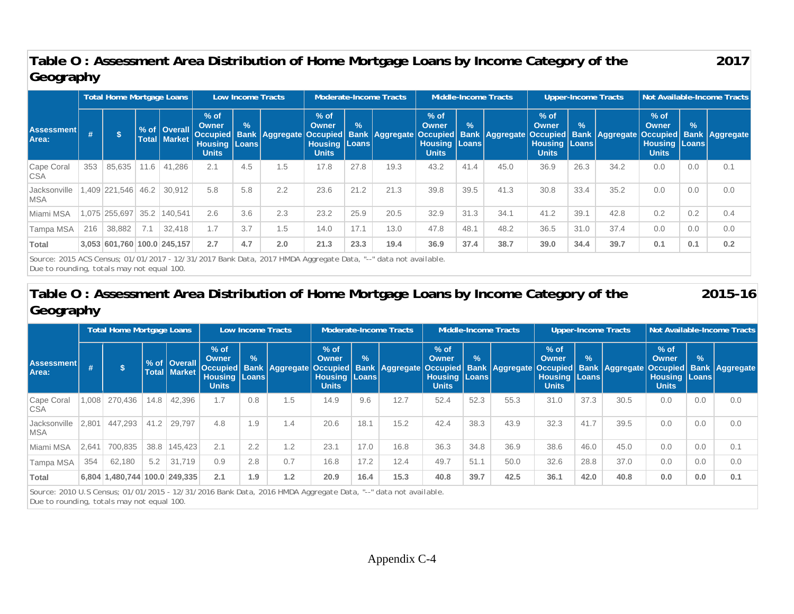## **Table O : Assessment Area Distribution of Home Mortgage Loans by Income Category of the Geography**

|                            | Total Home Mortgage Loans<br>Low Income Tracts |                             |      |                                         |                                                          |                                 |                         |                                                             |               | Moderate-Income Tracts                 |                                                                    |            | Middle-Income Tracts  |                                                                |               | <b>Upper-Income Tracts</b>                                | Not Available-Income Tracts                                 |               |     |  |
|----------------------------|------------------------------------------------|-----------------------------|------|-----------------------------------------|----------------------------------------------------------|---------------------------------|-------------------------|-------------------------------------------------------------|---------------|----------------------------------------|--------------------------------------------------------------------|------------|-----------------------|----------------------------------------------------------------|---------------|-----------------------------------------------------------|-------------------------------------------------------------|---------------|-----|--|
| <b>Assessment</b><br>Area: | #                                              | $\mathbf{s}$                |      | % of   Overall<br><b>Total   Market</b> | $%$ of<br><b>Owner</b><br><b>Housing</b><br><b>Units</b> | $\frac{9}{6}$<br><b>Loans</b> l | Occupied Bank Aggregate | $%$ of<br>Owner<br><b>Housing   Loans  </b><br><b>Units</b> | $\frac{9}{6}$ | Occupied   Bank   Aggregate   Occupied | $%$ of<br><b>Owner</b><br><b>Housing   Loans  </b><br><b>Units</b> | $\sqrt{2}$ | <b>Bank Aggregate</b> | $%$ of<br><b>Owner</b><br><b>Housing Loans</b><br><b>Units</b> | $\frac{9}{6}$ | Occupied   Bank   Aggregate   Occupied   Bank   Aggregate | $%$ of<br>Owner<br><b>Housing   Loans  </b><br><b>Units</b> | $\frac{9}{6}$ |     |  |
| Cape Coral<br><b>CSA</b>   | 353                                            | 85,635                      | 11.6 | 41,286                                  | 2.1                                                      | 4.5                             | 1.5                     | 17.8                                                        | 27.8          | 19.3                                   | 43.2                                                               | 41.4       | 45.0                  | 36.9                                                           | 26.3          | 34.2                                                      | 0.0                                                         | 0.0           | 0.1 |  |
| Jacksonville<br><b>MSA</b> |                                                | .409 221.546                | 46.2 | 30.912                                  | 5.8                                                      | 5.8                             | 2.2                     | 23.6                                                        | 21.2          | 21.3                                   | 39.8                                                               | 39.5       | 41.3                  | 30.8                                                           | 33.4          | 35.2                                                      | 0.0                                                         | 0.0           | 0.0 |  |
| Miami MSA                  |                                                | 075 255,697                 | 35.2 | 140.541                                 | 2.6                                                      | 3.6                             | 2.3                     | 23.2                                                        | 25.9          | 20.5                                   | 32.9                                                               | 31.3       | 34.1                  | 41.2                                                           | 39.1          | 42.8                                                      | 0.2                                                         | 0.2           | 0.4 |  |
| Tampa MSA                  | 216                                            | 38,882                      | 7.1  | 32.418                                  | 1.7                                                      | 3.7                             | 1.5                     | 14.0                                                        | 17.1          | 13.0                                   | 47.8                                                               | 48.1       | 48.2                  | 36.5                                                           | 31.0          | 37.4                                                      | 0.0                                                         | 0.0           | 0.0 |  |
| <b>Total</b>               |                                                | 3,053 601,760 100.0 245,157 |      |                                         | 2.7                                                      | 4.7                             | 2.0                     | 21.3                                                        | 23.3          | 19.4                                   | 36.9                                                               | 37.4       | 38.7                  | 39.0                                                           | 34.4          | 39.7                                                      | 0.1                                                         | 0.1           | 0.2 |  |

*Source: 2015 ACS Census; 01/01/2017 - 12/31/2017 Bank Data, 2017 HMDA Aggregate Data, "--" data not available. Due to rounding, totals may not equal 100.* 

## **Table O : Assessment Area Distribution of Home Mortgage Loans by Income Category of the Geography**

**2015-16** 

**2017** 

|                                                                                                                | <b>Total Home Mortgage Loans</b><br>Low Income Tracts |                               |      |                                              |                                                         |               |                                                                                                                                   |                                                           | <b>Moderate-Income Tracts</b> | Middle-Income Tracts |                                                                    |               |      | <b>Upper-Income Tracts</b>                                  |               | Not Available-Income Tracts |                                                             |               |     |
|----------------------------------------------------------------------------------------------------------------|-------------------------------------------------------|-------------------------------|------|----------------------------------------------|---------------------------------------------------------|---------------|-----------------------------------------------------------------------------------------------------------------------------------|-----------------------------------------------------------|-------------------------------|----------------------|--------------------------------------------------------------------|---------------|------|-------------------------------------------------------------|---------------|-----------------------------|-------------------------------------------------------------|---------------|-----|
| <b>Assessment</b><br>Area:                                                                                     | #                                                     |                               |      | % of <i>Overall</i><br><b>Total   Market</b> | $%$ of<br><b>Owner</b><br><b>Housing Loans</b><br>Units | $\frac{9}{6}$ | Occupied  Bank  Aggregate Occupied  Bank  Aggregate Occupied  Bank  Aggregate Occupied  Bank  Aggregate Occupied  Bank  Aggregate | $%$ of<br>Owner<br><b>Housing   Loans</b><br><b>Units</b> | $\frac{9}{6}$                 |                      | $%$ of<br><b>Owner</b><br><b>Housing   Loans  </b><br><b>Units</b> | $\frac{9}{6}$ |      | $%$ of<br>Owner<br><b>Housing   Loans  </b><br><b>Units</b> | $\frac{9}{6}$ |                             | $%$ of<br>Owner<br><b>Housing   Loans  </b><br><b>Units</b> | $\frac{9}{6}$ |     |
| Cape Coral<br><b>CSA</b>                                                                                       | 1,008                                                 | 270.436                       | 14.8 | 42.396                                       | 1.7                                                     | 0.8           | 1.5                                                                                                                               | 14.9                                                      | 9.6                           | 12.7                 | 52.4                                                               | 52.3          | 55.3 | 31.0                                                        | 37.3          | 30.5                        | 0.0                                                         | 0.0           | 0.0 |
| Jacksonville<br>MSA                                                                                            | 2,801                                                 | 447,293                       | 41.2 | 29.797                                       | 4.8                                                     | 1.9           | 1.4                                                                                                                               | 20.6                                                      | 18.1                          | 15.2                 | 42.4                                                               | 38.3          | 43.9 | 32.3                                                        | 41.7          | 39.5                        | 0.0                                                         | 0.0           | 0.0 |
| Miami MSA                                                                                                      | 2,641                                                 | 700,835                       | 38.8 | 145.423                                      | 2.1                                                     | 2.2           | 1.2                                                                                                                               | 23.1                                                      | 17.0                          | 16.8                 | 36.3                                                               | 34.8          | 36.9 | 38.6                                                        | 46.0          | 45.0                        | 0.0                                                         | 0.0           | 0.1 |
| Tampa MSA                                                                                                      | 354                                                   | 62.180                        | 5.2  | 31,719                                       | 0.9                                                     | 2.8           | 0.7                                                                                                                               | 16.8                                                      | 17.2                          | 12.4                 | 49.7                                                               | 51.1          | 50.0 | 32.6                                                        | 28.8          | 37.0                        | 0.0                                                         | 0.0           | 0.0 |
| <b>Total</b>                                                                                                   |                                                       | 6,804 1,480,744 100.0 249,335 |      |                                              | 2.1                                                     | 1.9           | 1.2                                                                                                                               | 20.9                                                      | 16.4                          | 15.3                 | 40.8                                                               | 39.7          | 42.5 | 36.1                                                        | 42.0          | 40.8                        | 0.0                                                         | 0.0           | 0.1 |
| Source: 2010 U.S Census; 01/01/2015 - 12/31/2016 Bank Data, 2016 HMDA Aggregate Data, "--" data not available. |                                                       |                               |      |                                              |                                                         |               |                                                                                                                                   |                                                           |                               |                      |                                                                    |               |      |                                                             |               |                             |                                                             |               |     |

*Due to rounding, totals may not equal 100.*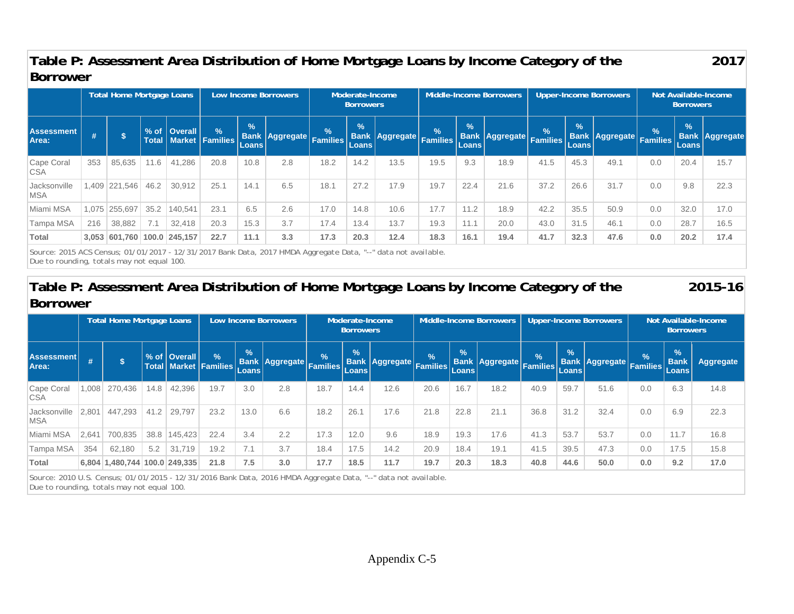## **Table P: Assessment Area Distribution of Home Mortgage Loans by Income Category of the Borrower**

|                            | <b>Total Home Mortgage Loans</b> |                             |      |                |                                         |                               | <b>Low Income Borrowers</b> | Moderate-Income<br><b>Borrowers</b> |                               |                         | <b>Middle-Income Borrowers</b> |                        |                         |               |                               | <b>Upper-Income Borrowers</b> | Not Available-Income<br><b>Borrowers</b> |                               |                       |  |
|----------------------------|----------------------------------|-----------------------------|------|----------------|-----------------------------------------|-------------------------------|-----------------------------|-------------------------------------|-------------------------------|-------------------------|--------------------------------|------------------------|-------------------------|---------------|-------------------------------|-------------------------------|------------------------------------------|-------------------------------|-----------------------|--|
| <b>Assessment</b><br>Area: |                                  |                             |      | % of   Overall | $\sqrt{2}$<br>Total   Market   Families | $\frac{9}{6}$<br><b>Loans</b> | Bank Aggregate Families     | $\%$                                | $\frac{1}{2}$<br><b>Loans</b> | Bank Aggregate Families | $\frac{9}{6}$                  | $\frac{1}{2}$<br>Loans | Bank Aggregate Families | $\frac{9}{6}$ | $\frac{9}{6}$<br><b>Loans</b> | Bank Aggregate Families       | $\frac{1}{2}$                            | $\frac{9}{6}$<br><b>Loans</b> | <b>Bank Aggregate</b> |  |
| Cape Coral<br><b>CSA</b>   | 353                              | 85,635                      | 11.6 | 41,286         | 20.8                                    | 10.8                          | 2.8                         | 18.2                                | 14.2                          | 13.5                    | 19.5                           | 9.3                    | 18.9                    | 41.5          | 45.3                          | 49.1                          | 0.0                                      | 20.4                          | 15.7                  |  |
| Jacksonville<br><b>MSA</b> |                                  | 1,409 221,546               | 46.2 | 30,912         | 25.1                                    | 14.1                          | 6.5                         | 18.1                                | 27.2                          | 17.9                    | 19.7                           | 22.4                   | 21.6                    | 37.2          | 26.6                          | 31.7                          | 0.0                                      | 9.8                           | 22.3                  |  |
| Miami MSA                  | 1.075                            | 255,697                     | 35.2 | 140.541        | 23.1                                    | 6.5                           | 2.6                         | 17.0                                | 14.8                          | 10.6                    | 17.7                           | 11.2                   | 18.9                    | 42.2          | 35.5                          | 50.9                          | 0.0                                      | 32.0                          | 17.0                  |  |
| Tampa MSA                  | 216                              | 38,882                      | 7.1  | 32.418         | 20.3                                    | 15.3                          | 3.7                         | 17.4                                | 13.4                          | 13.7                    | 19.3                           | 11.1                   | 20.0                    | 43.0          | 31.5                          | 46.1                          | 0.0                                      | 28.7                          | 16.5                  |  |
| <b>Total</b>               |                                  | 3,053 601,760 100.0 245,157 |      |                | 22.7                                    | 11.1                          | 3.3                         | 17.3                                | 20.3                          | 12.4                    | 18.3                           | 16.1                   | 19.4                    | 41.7          | 32.3                          | 47.6                          | 0.0                                      | 20.2                          | 17.4                  |  |
|                            |                                  |                             |      |                |                                         |                               |                             |                                     |                               |                         |                                |                        |                         |               |                               |                               |                                          |                               |                       |  |

**2017** 

**2015-16** 

*Source: 2015 ACS Census; 01/01/2017 - 12/31/2017 Bank Data, 2017 HMDA Aggregate Data, "--" data not available. Due to rounding, totals may not equal 100.* 

## **Table P: Assessment Area Distribution of Home Mortgage Loans by Income Category of the Borrower**

Total Home Mortgage Loans | Low Income Borrowers | Moderate-Income **Borrowers** Middle-Income Borrowers | Upper-Income Borrowers | Not Available-Income **Borrowers Assessment**  Assessment # \$ % of Overall % & Bank Aggregate 6 % Bank Aggregate % 8 % Bank Aggregate % % 8 % Aggregate % % %<br>Area: # \$ Total Market Families Loans Families Eamilies Loans Families Families Eamilies Families (Loans Famili Cape Coral **CSA** 1,008| 270,436 | 14.8 | 42,396 | 19.7 | 3.0 | 2.8 | 18.7 | 14.4 | 12.6 | 20.6 | 16.7 | 18.2 | 40.9 | 59.7 | 51.6 | 0.0 | 6.3 | 14.8 **Jacksonville** MSA 2,801 447,293 41.2 29,797 23.2 13.0 6.6 18.2 26.1 17.6 21.8 22.8 21.1 36.8 31.2 32.4 0.0 6.9 22.3 Miami MSA |2,641| 700,835 | 38.8 |145,423| 22.4 | 3.4 | 2.2 | 17.3 | 12.0 | 9.6 | 18.9 | 19.3 | 17.6 | 41.3 | 53.7 | 53.7 | 0.0 | 11.7 | 16.8 Tampa MSA | 354 | 62,180 | 5.2 | 31,719 | 19.2 | 7.1 | 3.7 | 18.4 | 17.5 | 14.2 | 20.9 | 18.4 | 19.1 | 141.5 | 39.5 | 47.3 | 0.0 | 17.5 | 15.8 **Total 6,804 1,480,744 100.0 249,335 21.8 7.5 3.0 17.7 18.5 11.7 19.7 20.3 18.3 40.8 44.6 50.0 0.0 9.2 17.0** 

*Source: 2010 U.S. Census; 01/01/2015 - 12/31/2016 Bank Data, 2016 HMDA Aggregate Data, "--" data not available. Due to rounding, totals may not equal 100.*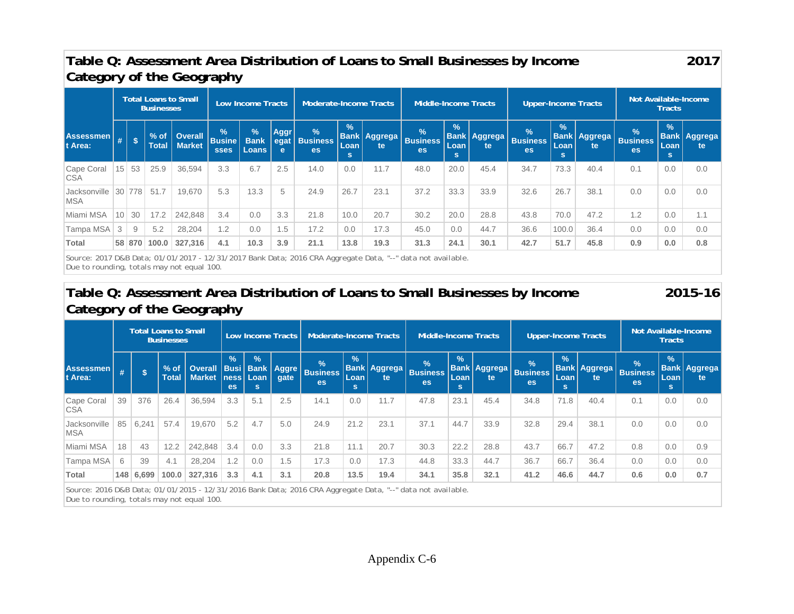## **Table Q: Assessment Area Distribution of Loans to Small Businesses by Income Category of the Geography**

**2017** 

|                              | Total Loans to Small<br><b>Businesses</b> |            |                        |                                 |                                               | Low Income Tracts                         |                          | Moderate-Income Tracts                        |                            |                            | Middle-Income Tracts                   |                                   |                            | <b>Upper-Income Tracts</b>             |                             |                            | Not Available-Income<br><b>Tracts</b>         |                             |                                      |  |
|------------------------------|-------------------------------------------|------------|------------------------|---------------------------------|-----------------------------------------------|-------------------------------------------|--------------------------|-----------------------------------------------|----------------------------|----------------------------|----------------------------------------|-----------------------------------|----------------------------|----------------------------------------|-----------------------------|----------------------------|-----------------------------------------------|-----------------------------|--------------------------------------|--|
| <b>Assessmen</b><br>It Area: | #                                         | $\sqrt{5}$ | $%$ of<br><b>Total</b> | <b>Overall</b><br><b>Market</b> | $\frac{9}{6}$<br><b>Busine</b><br><b>sses</b> | $\sqrt{2}$<br><b>Bank</b><br><b>Loans</b> | <b>Aggr</b><br>egat<br>e | $\frac{9}{6}$<br><b>Business</b><br><b>es</b> | $\frac{9}{6}$<br>Loan<br>s | <b>Bank Aggrega</b><br>te. | $\frac{9}{6}$<br><b>Business</b><br>es | $\frac{9}{6}$<br>Loan<br><b>s</b> | <b>Bank Aggrega</b><br>te. | $\frac{9}{6}$<br><b>Business</b><br>es | $\frac{9}{6}$<br>Loan<br>s. | <b>Bank Aggrega</b><br>te. | $\frac{1}{2}$<br><b>Business</b><br><b>es</b> | $\frac{9}{6}$<br>Loan<br>s. | <b>Bank Aggrega</b><br><sub>te</sub> |  |
| Cape Coral<br><b>CSA</b>     | 15                                        | 53         | 25.9                   | 36,594                          | 3.3                                           | 6.7                                       | 2.5                      | 14.0                                          | 0.0                        | 11.7                       | 48.0                                   | 20.0                              | 45.4                       | 34.7                                   | 73.3                        | 40.4                       | 0.1                                           | 0.0                         | 0.0                                  |  |
| Jacksonville<br><b>MSA</b>   | 30                                        | 778        | 51.7                   | 19,670                          | 5.3                                           | 13.3                                      | 5                        | 24.9                                          | 26.7                       | 23.1                       | 37.2                                   | 33.3                              | 33.9                       | 32.6                                   | 26.7                        | 38.1                       | 0.0                                           | 0.0                         | 0.0                                  |  |
| Miami MSA                    | 10                                        | 30         | 17.2                   | 242,848                         | 3.4                                           | 0.0                                       | 3.3                      | 21.8                                          | 10.0                       | 20.7                       | 30.2                                   | 20.0                              | 28.8                       | 43.8                                   | 70.0                        | 47.2                       | 1.2                                           | 0.0                         | 1.1                                  |  |
| Tampa MSA                    | 3                                         | 9          | 5.2                    | 28,204                          | 1.2                                           | 0.0                                       | $.5 -$                   | 17.2                                          | 0.0                        | 17.3                       | 45.0                                   | 0.0                               | 44.7                       | 36.6                                   | 100.0                       | 36.4                       | 0.0                                           | 0.0                         | 0.0                                  |  |
| Total                        |                                           | 58 870     | 100.0                  | 327,316                         | 4.1                                           | 10.3                                      | 3.9                      | 21.1                                          | 13.8                       | 19.3                       | 31.3                                   | 24.1                              | 30.1                       | 42.7                                   | 51.7                        | 45.8                       | 0.9                                           | 0.0                         | 0.8                                  |  |

*Source: 2017 D&B Data; 01/01/2017 - 12/31/2017 Bank Data; 2016 CRA Aggregate Data, "--" data not available. Due to rounding, totals may not equal 100.* 

## **Table Q: Assessment Area Distribution of Loans to Small Businesses by Income Category of the Geography**

**2015-16** 

| Total Loans to Small<br><b>Businesses</b> |       |                        | Low Income Tracts |             |                             | Moderate-Income Tracts |                                               |                                        | Middle-Income Tracts |                                      |                             |      |                                        |                             | Not Available-Income<br><b>Tracts</b> |                            |                                        |                           |
|-------------------------------------------|-------|------------------------|-------------------|-------------|-----------------------------|------------------------|-----------------------------------------------|----------------------------------------|----------------------|--------------------------------------|-----------------------------|------|----------------------------------------|-----------------------------|---------------------------------------|----------------------------|----------------------------------------|---------------------------|
|                                           | 's    | $%$ of<br><b>Total</b> | <b>Market</b>     | $\%$<br>es. | $\frac{9}{6}$<br>Loan<br>s. | gate                   | $\frac{1}{2}$<br><b>Business</b><br><b>es</b> | $\overline{\mathcal{A}}$<br>Loan<br>s. | te.                  | $\%$<br><b>Business</b><br><b>es</b> | $\frac{9}{6}$<br>Loan<br>s. | te.  | $\frac{9}{6}$<br><b>Business</b><br>es | $\frac{9}{6}$<br>Loan<br>s. | te                                    | $\frac{9}{6}$<br><b>es</b> | $\frac{9}{6}$<br>Loan<br>s.            | <b>Bank Aggrega</b><br>te |
| 39                                        | 376   | 26.4                   | 36,594            | 3.3         | 5.1                         | 2.5                    | 14.1                                          | 0.0                                    | 11.7                 | 47.8                                 | 23.1                        | 45.4 | 34.8                                   | 71.8                        | 40.4                                  | 0.1                        | 0.0                                    | 0.0                       |
| 85                                        | 6,241 | 57.4                   | 19,670            | 5.2         | 4.7                         | 5.0                    | 24.9                                          | 21.2                                   | 23.1                 | 37.1                                 | 44.7                        | 33.9 | 32.8                                   | 29.4                        | 38.1                                  | 0.0                        | 0.0                                    | 0.0                       |
| 18                                        | 43    | 12.2                   | 242,848           | 3.4         | 0.0                         | 3.3                    | 21.8                                          | 11.1                                   | 20.7                 | 30.3                                 | 22.2                        | 28.8 | 43.7                                   | 66.7                        | 47.2                                  | 0.8                        | 0.0                                    | 0.9                       |
|                                           | 39    | 4.1                    | 28,204            | 1.2         | 0.0                         | 1.5                    | 17.3                                          | 0.0                                    | 17.3                 | 44.8                                 | 33.3                        | 44.7 | 36.7                                   | 66.7                        | 36.4                                  | 0.0                        | 0.0                                    | 0.0                       |
|                                           |       | 100.0                  | 327,316           | 3.3         | 4.1                         | 3.1                    | 20.8                                          | 13.5                                   | 19.4                 | 34.1                                 | 35.8                        | 32.1 | 41.2                                   | 46.6                        | 44.7                                  | 0.6                        | 0.0                                    | 0.7                       |
|                                           |       | 6,699<br>148           |                   |             |                             | ness                   |                                               | Overall   Busi   Bank   Aggre          |                      |                                      | <b>Bank Aggrega</b>         |      |                                        | <b>Bank Aggrega</b>         |                                       | <b>Upper-Income Tracts</b> | <b>Bank Aggrega</b><br><b>Business</b> |                           |

*Source: 2016 D&B Data; 01/01/2015 - 12/31/2016 Bank Data; 2016 CRA Aggregate Data, "--" data not available. Due to rounding, totals may not equal 100.*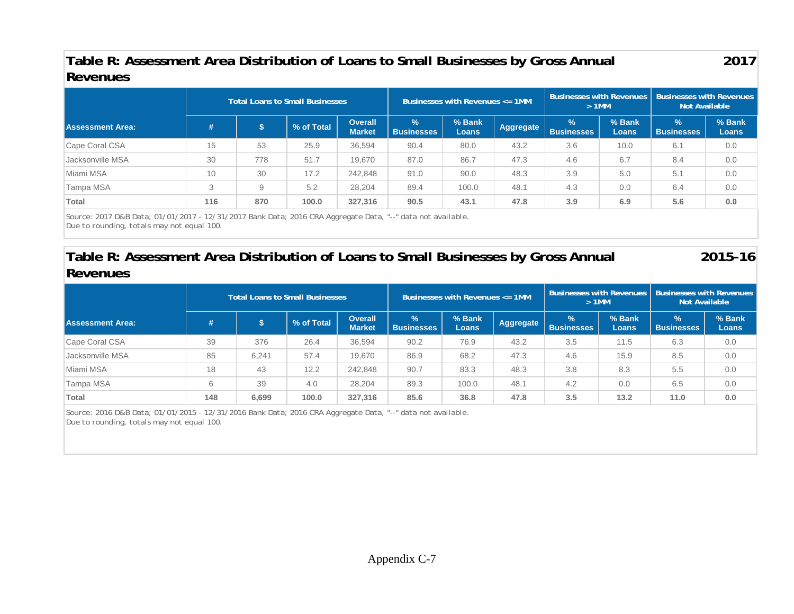## **Table R: Assessment Area Distribution of Loans to Small Businesses by Gross Annual Revenues**

**2017** 

|                         |        |     | <b>Total Loans to Small Businesses</b> |                                 |                           | Businesses with Revenues $\leq$ 1MM |           | <b>Businesses with Revenues</b><br>$>1$ MM |                 | <b>Businesses with Revenues</b><br><b>Not Available</b> |                        |  |
|-------------------------|--------|-----|----------------------------------------|---------------------------------|---------------------------|-------------------------------------|-----------|--------------------------------------------|-----------------|---------------------------------------------------------|------------------------|--|
| <b>Assessment Area:</b> | #      |     | % of Total                             | <b>Overall</b><br><b>Market</b> | $\%$<br><b>Businesses</b> | % Bank<br><b>Loans</b>              | Aggregate | $\frac{9}{6}$<br><b>Businesses</b>         | % Bank<br>Loans | ℅<br><b>Businesses</b>                                  | % Bank<br><b>Loans</b> |  |
| Cape Coral CSA          | 15     | 53  | 25.9                                   | 36,594                          | 90.4                      | 80.0                                | 43.2      | 3.6                                        | 10.0            | 6.1                                                     | 0.0                    |  |
| Jacksonville MSA        | 30     | 778 | 51.7                                   | 19.670                          | 87.0                      | 86.7                                | 47.3      | 4.6                                        | 6.7             | 8.4                                                     | 0.0                    |  |
| Miami MSA               | 10     | 30  | 17.2                                   | 242,848                         | 91.0                      | 90.0                                | 48.3      | 3.9                                        | 5.0             | 5.1                                                     | 0.0                    |  |
| Tampa MSA               | C<br>J | 9   | 5.2                                    | 28.204                          | 89.4                      | 100.0                               | 48.1      | 4.3                                        | 0.0             | 6.4                                                     | 0.0                    |  |
| Total                   | 116    | 870 | 100.0                                  | 327,316                         | 90.5                      | 43.1                                | 47.8      | 3.9                                        | 6.9             | 5.6                                                     | 0.0                    |  |

*Source: 2017 D&B Data; 01/01/2017 - 12/31/2017 Bank Data; 2016 CRA Aggregate Data, "--" data not available. Due to rounding, totals may not equal 100.* 

## **Table R: Assessment Area Distribution of Loans to Small Businesses by Gross Annual Revenues**

**2015-16** 

|                         |     |       | <b>Total Loans to Small Businesses</b> |                                 |                           | Businesses with Revenues $\leq$ 1MM |           | $>1$ MM                            |                 | Businesses with Revenues   Businesses with Revenues<br><b>Not Available</b> |                        |  |
|-------------------------|-----|-------|----------------------------------------|---------------------------------|---------------------------|-------------------------------------|-----------|------------------------------------|-----------------|-----------------------------------------------------------------------------|------------------------|--|
| <b>Assessment Area:</b> | #   |       | % of Total                             | <b>Overall</b><br><b>Market</b> | $\%$<br><b>Businesses</b> | % Bank<br><b>Loans</b>              | Aggregate | $\frac{9}{6}$<br><b>Businesses</b> | % Bank<br>Loans | $\frac{9}{6}$<br><b>Businesses</b>                                          | % Bank<br><b>Loans</b> |  |
| Cape Coral CSA          | 39  | 376   | 26.4                                   | 36.594                          | 90.2                      | 76.9                                | 43.2      | 3.5                                | 11.5            | 6.3                                                                         | 0.0                    |  |
| Jacksonville MSA        | 85  | 6,241 | 57.4                                   | 19.670                          | 86.9                      | 68.2                                | 47.3      | 4.6                                | 15.9            | 8.5                                                                         | 0.0                    |  |
| Miami MSA               | 18  | 43    | 12.2                                   | 242,848                         | 90.7                      | 83.3                                | 48.3      | 3.8                                | 8.3             | 5.5                                                                         | 0.0                    |  |
| Tampa MSA               | 6   | 39    | 4.0                                    | 28,204                          | 89.3                      | 100.0                               | 48.1      | 4.2                                | 0.0             | 6.5                                                                         | 0.0                    |  |
| Total                   | 148 | 6,699 | 100.0                                  | 327,316                         | 85.6                      | 36.8                                | 47.8      | 3.5                                | 13.2            | 11.0                                                                        | 0.0                    |  |

*Source: 2016 D&B Data; 01/01/2015 - 12/31/2016 Bank Data; 2016 CRA Aggregate Data, "--" data not available. Due to rounding, totals may not equal 100.*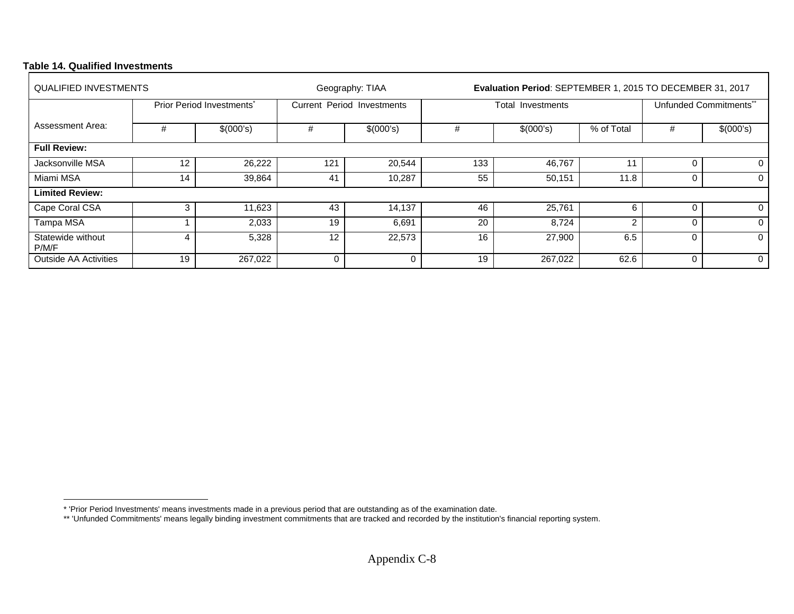## **Table 14. Qualified Investments**

| <b>QUALIFIED INVESTMENTS</b> |                   |                           |              | Geography: TIAA                   |     | Evaluation Period: SEPTEMBER 1, 2015 TO DECEMBER 31, 2017 |                        |          |              |  |  |  |  |  |
|------------------------------|-------------------|---------------------------|--------------|-----------------------------------|-----|-----------------------------------------------------------|------------------------|----------|--------------|--|--|--|--|--|
|                              |                   | Prior Period Investments* |              | <b>Current Period Investments</b> |     | Total Investments                                         | Unfunded Commitments** |          |              |  |  |  |  |  |
| Assessment Area:             | #                 | \$(000's)                 | #            | \$(000's)                         | #   | \$(000's)                                                 | % of Total             | #        | \$(000's)    |  |  |  |  |  |
| <b>Full Review:</b>          |                   |                           |              |                                   |     |                                                           |                        |          |              |  |  |  |  |  |
| Jacksonville MSA             | $12 \overline{ }$ | 26,222                    | 121          | 20,544                            | 133 | 46,767                                                    | 11                     | 0        | $\mathbf{0}$ |  |  |  |  |  |
| Miami MSA                    | 14                | 39,864                    | 41           | 10,287                            | 55  | 50,151                                                    | 11.8                   | 0        | 0            |  |  |  |  |  |
| <b>Limited Review:</b>       |                   |                           |              |                                   |     |                                                           |                        |          |              |  |  |  |  |  |
| Cape Coral CSA               | 3                 | 11,623                    | 43           | 14,137                            | 46  | 25,761                                                    | 6                      | $\Omega$ | 0            |  |  |  |  |  |
| Tampa MSA                    |                   | 2,033                     | 19           | 6,691                             | 20  | 8,724                                                     | $\overline{2}$         | $\Omega$ | $\Omega$     |  |  |  |  |  |
| Statewide without<br>P/M/F   | 4                 | 5,328                     | 12           | 22,573                            | 16  | 27,900                                                    | 6.5                    | $\Omega$ | 0            |  |  |  |  |  |
| <b>Outside AA Activities</b> | 19                | 267,022                   | $\mathbf{0}$ | 0                                 | 19  | 267,022                                                   | 62.6                   | $\Omega$ | 0            |  |  |  |  |  |

<sup>\* &#</sup>x27;Prior Period Investments' means investments made in a previous period that are outstanding as of the examination date.

<sup>\*\* &#</sup>x27;Unfunded Commitments' means legally binding investment commitments that are tracked and recorded by the institution's financial reporting system.